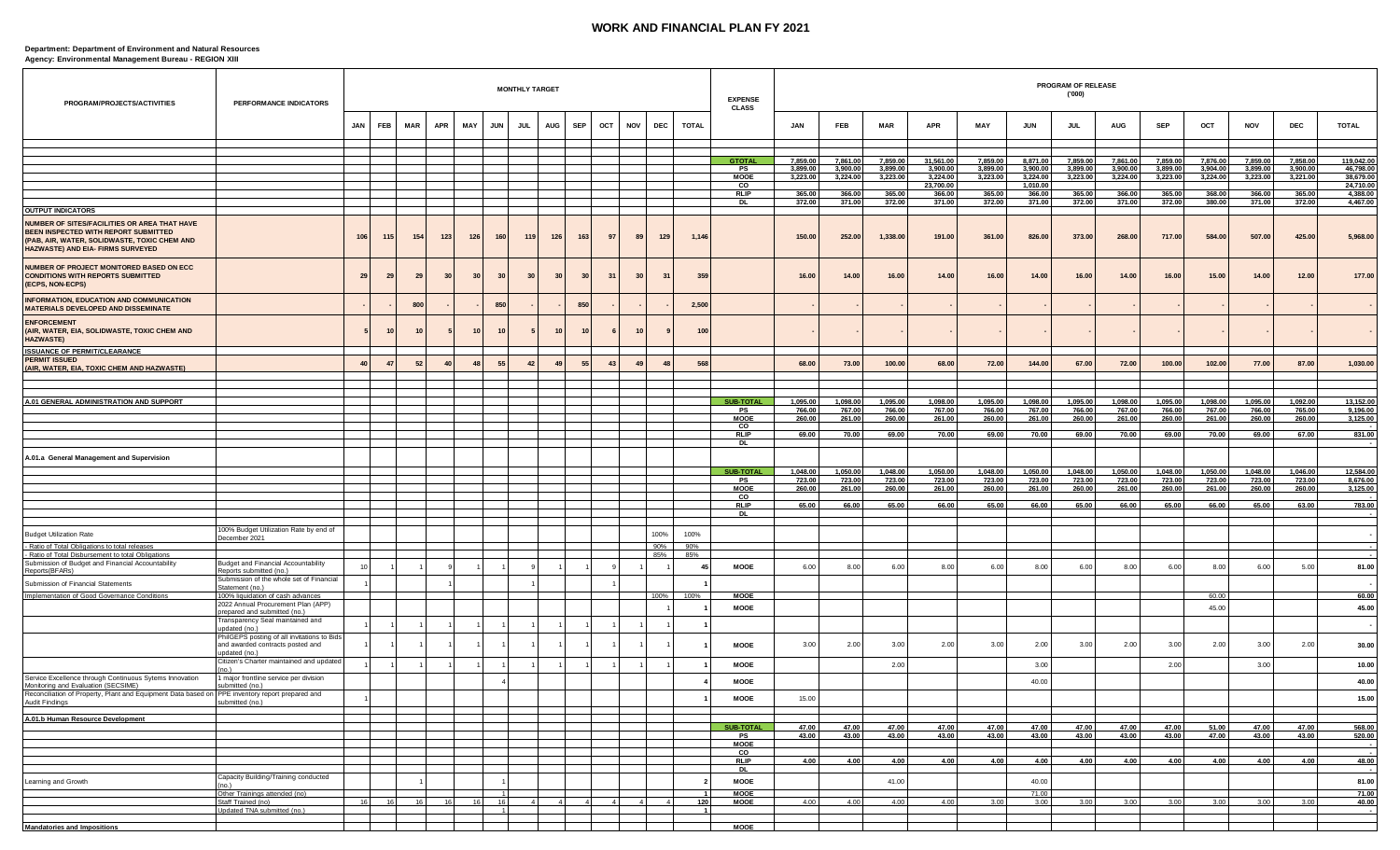## **WORK AND FINANCIAL PLAN FY 2021**

## **Department: Department of Environment and Natural Resources Agency: Environmental Management Bureau - REGION XIII**

| PROGRAM/PROJECTS/ACTIVITIES                                                                                                                                                      | PERFORMANCE INDICATORS                                                                          |     |            |            |            |            |                      | <b>MONTHLY TARGET</b> |                |            |     |                           |                |              | <b>EXPENSE</b><br><b>CLASS</b> |                      |                      |                      |                      |                      |                      | PROGRAM OF RELEASE<br>('000') |                      |                      |                      |                      |                      |                        |
|----------------------------------------------------------------------------------------------------------------------------------------------------------------------------------|-------------------------------------------------------------------------------------------------|-----|------------|------------|------------|------------|----------------------|-----------------------|----------------|------------|-----|---------------------------|----------------|--------------|--------------------------------|----------------------|----------------------|----------------------|----------------------|----------------------|----------------------|-------------------------------|----------------------|----------------------|----------------------|----------------------|----------------------|------------------------|
|                                                                                                                                                                                  |                                                                                                 | JAN | <b>FEB</b> | <b>MAR</b> | <b>APR</b> | <b>MAY</b> | <b>JUN</b>           | <b>JUL</b>            | <b>AUG</b>     | <b>SEP</b> | OCT | <b>NOV</b>                | <b>DEC</b>     | <b>TOTAL</b> |                                | <b>JAN</b>           | FEB                  | <b>MAR</b>           | <b>APR</b>           | MAY                  | <b>JUN</b>           | <b>JUL</b>                    | AUG                  | <b>SEP</b>           | OCT                  | <b>NOV</b>           | <b>DEC</b>           | <b>TOTAL</b>           |
|                                                                                                                                                                                  |                                                                                                 |     |            |            |            |            |                      |                       |                |            |     |                           |                |              |                                |                      |                      |                      |                      |                      |                      |                               |                      |                      |                      |                      |                      |                        |
|                                                                                                                                                                                  |                                                                                                 |     |            |            |            |            |                      |                       |                |            |     |                           |                |              | <b>GTOTAL</b>                  | 7.859.00             | 7.861.00             | 7,859.00             | 31.561.00            | 7.859.00             | 8.871.00             | 7.859.00                      | 7,861.00             | 7,859.00             | 7.876.00             | 7.859.00             | 7.858.00             | 119,042.00             |
|                                                                                                                                                                                  |                                                                                                 |     |            |            |            |            |                      |                       |                |            |     |                           |                |              | PS<br>MOOE                     | 3,899.00<br>3,223.00 | 3,900.00<br>3,224.00 | 3,899.00<br>3,223.00 | 3,900.00<br>3,224.00 | 3,899.00<br>3,223.00 | 3,900.00<br>3,224.00 | 3,899.00<br>3,223.00          | 3,900.00<br>3,224.00 | 3,899.00<br>3,223.00 | 3,904.00<br>3,224.00 | 3,899.00<br>3,223.00 | 3,900.00<br>3,221.00 | 46,798.00<br>38,679.00 |
|                                                                                                                                                                                  |                                                                                                 |     |            |            |            |            |                      |                       |                |            |     |                           |                |              | CO<br><b>RLIP</b>              | 365.00               | 366.00               | 365.00               | 23,700.00<br>366.00  | 365.00               | 1,010.00<br>366.00   | 365.00                        | 366.0                | 365.00               | 368.00               | 366.00               | 365.00               | 24,710.00<br>4,388.00  |
| <b>OUTPUT INDICATORS</b>                                                                                                                                                         |                                                                                                 |     |            |            |            |            |                      |                       |                |            |     |                           |                |              | <b>DL</b>                      | 372.00               | 371.00               | 372.00               | 371.00               | 372.00               | 371.00               | 372.00                        | 371.00               | 372.00               | 380.00               | 371.00               | 372.00               | 4,467.00               |
| <b>NUMBER OF SITES/FACILITIES OR AREA THAT HAVE</b><br>BEEN INSPECTED WITH REPORT SUBMITTED<br>(PAB, AIR, WATER, SOLIDWASTE, TOXIC CHEM AND<br>HAZWASTE) AND EIA- FIRMS SURVEYED |                                                                                                 | 106 | 115        | 154        | 123        | 126        | 160                  | 119                   | 126            | 163        | 97  | 89                        | 129            | 1,146        |                                | 150.00               | 252.00               | 1,338.00             | 191.00               | 361.00               | 826.00               | 373.00                        | 268.00               | 717.00               | 584.00               | 507.00               | 425.00               | 5,968.00               |
| NUMBER OF PROJECT MONITORED BASED ON ECC<br><b>CONDITIONS WITH REPORTS SUBMITTED</b><br>(ECPS, NON-ECPS)                                                                         |                                                                                                 | 29  | 29         | 29         | 30         | 30         | 30                   | 30                    | 30             | 30         | 31  | 30                        | 31             | 359          |                                | 16.00                | 14.00                | 16.00                | 14.00                | 16.00                | 14.00                | 16.00                         | 14.00                | 16.00                | 15.00                | 14.00                | 12.00                | 177.00                 |
| INFORMATION, EDUCATION AND COMMUNICATION<br>MATERIALS DEVELOPED AND DISSEMINATE                                                                                                  |                                                                                                 |     |            | 800        |            |            | 850                  |                       |                | 850        |     |                           |                | 2,500        |                                |                      |                      |                      |                      |                      |                      |                               |                      |                      |                      |                      |                      |                        |
| <b>ENFORCEMENT</b><br>(AIR, WATER, EIA, SOLIDWASTE, TOXIC CHEM AND<br><b>HAZWASTE)</b>                                                                                           |                                                                                                 |     | 10         |            |            | 10         | 10                   |                       | 10             | 10         |     | 10                        |                | 100          |                                |                      |                      |                      |                      |                      |                      |                               |                      |                      |                      |                      |                      |                        |
| <b>ISSUANCE OF PERMIT/CLEARANCE</b><br><b>PERMIT ISSUED</b>                                                                                                                      |                                                                                                 |     |            |            |            |            |                      |                       |                |            |     |                           |                |              |                                |                      |                      |                      |                      |                      |                      |                               |                      |                      |                      |                      |                      |                        |
| (AIR, WATER, EIA, TOXIC CHEM AND HAZWASTE)                                                                                                                                       |                                                                                                 | 40  | 47         | 52         | 40         | 48         | 55                   | 42                    | 49             | 55         | 43  | $\mathbf{A}^{\mathbf{C}}$ | 48             | 568          |                                | 68.00                | 73.00                | 100.00               | 68.00                | 72.00                | 144.00               | 67.00                         | 72.00                | 100.00               | 102.00               | 77.00                | 87.00                | 1,030.00               |
|                                                                                                                                                                                  |                                                                                                 |     |            |            |            |            |                      |                       |                |            |     |                           |                |              |                                |                      |                      |                      |                      |                      |                      |                               |                      |                      |                      |                      |                      |                        |
| A.01 GENERAL ADMINISTRATION AND SUPPORT                                                                                                                                          |                                                                                                 |     |            |            |            |            |                      |                       |                |            |     |                           |                |              | <b>SUB-TOTAL</b><br>PS         | 1,095.00<br>766.00   | 1,098.00<br>767.00   | 1,095.00<br>766.00   | 1,098.00<br>767.00   | 1,095.00<br>766.00   | 1,098.00<br>767.00   | 1,095.00<br>766.00            | 1,098.00<br>767.00   | 1,095.00<br>766.00   | 1,098.00<br>767.00   | 1,095.00<br>766.00   | 1,092.00<br>765.00   | 13,152.00<br>9,196.00  |
|                                                                                                                                                                                  |                                                                                                 |     |            |            |            |            |                      |                       |                |            |     |                           |                |              | <b>MOOE</b><br>$\mathbf{co}$   | 260.00               | 261.00               | 260.00               | 261.00               | 260.00               | 261.00               | 260.00                        | 261.00               | 260.00               | 261.00               | 260.00               | 260.00               | 3,125.00               |
|                                                                                                                                                                                  |                                                                                                 |     |            |            |            |            |                      |                       |                |            |     |                           |                |              | <b>RLIP</b><br>DL              | 69.00                | 70.00                | 69.00                | 70.00                | 69.00                | 70.00                | 69.00                         | 70.00                | 69.00                | 70.00                | 69.00                | 67.00                | 831.00                 |
| A.01.a General Management and Supervision                                                                                                                                        |                                                                                                 |     |            |            |            |            |                      |                       |                |            |     |                           |                |              |                                |                      |                      |                      |                      |                      |                      |                               |                      |                      |                      |                      |                      |                        |
|                                                                                                                                                                                  |                                                                                                 |     |            |            |            |            |                      |                       |                |            |     |                           |                |              | <b>SUB-TOTAL</b>               | 1,048.00             | 1,050.00             | 1,048.00             | 1,050.00             | 1,048.00             | 1,050.00             | 1,048.00                      | 1,050.00             | 1,048.00             | 1,050.00             | 1,048.00             | 1,046.00             | 12,584.00              |
|                                                                                                                                                                                  |                                                                                                 |     |            |            |            |            |                      |                       |                |            |     |                           |                |              | PS<br><b>MOOE</b>              | 723.00<br>260.00     | 723.00<br>261.00     | 723.00<br>260.00     | 723.00<br>261.00     | 723.00<br>260.00     | 723.00<br>261.00     | 723.00<br>260.00              | 723.00<br>261.00     | 723.00<br>260.00     | 723.00<br>261.00     | 723.00<br>260.00     | 723.00<br>260.00     | 8,676.00<br>3,125.00   |
|                                                                                                                                                                                  |                                                                                                 |     |            |            |            |            |                      |                       |                |            |     |                           |                |              | $\mathsf{co}$<br><b>RLIP</b>   | 65.00                | 66.00                | 65.00                | 66.00                | 65.00                | 66.00                | 65.00                         | 66.00                | 65.00                | 66.00                | 65.00                | 63.00                | 783.00                 |
|                                                                                                                                                                                  |                                                                                                 |     |            |            |            |            |                      |                       |                |            |     |                           |                |              | DL                             |                      |                      |                      |                      |                      |                      |                               |                      |                      |                      |                      |                      |                        |
| <b>Budget Utilization Rate</b>                                                                                                                                                   | 100% Budget Utilization Rate by end of                                                          |     |            |            |            |            |                      |                       |                |            |     |                           | 100%           | 100%         |                                |                      |                      |                      |                      |                      |                      |                               |                      |                      |                      |                      |                      |                        |
| - Ratio of Total Obligations to total releases                                                                                                                                   | December 2021                                                                                   |     |            |            |            |            |                      |                       |                |            |     |                           | 90%            | 90%          |                                |                      |                      |                      |                      |                      |                      |                               |                      |                      |                      |                      |                      |                        |
| - Ratio of Total Disbursement to total Obligations<br>Submission of Budget and Financial Accountability                                                                          | Budget and Financial Accountability                                                             | 10  |            |            |            |            |                      |                       |                |            |     |                           | 85%            | 85%          |                                |                      |                      |                      |                      |                      |                      |                               |                      |                      |                      |                      |                      |                        |
| Reports(BFARs)                                                                                                                                                                   | Reports submitted (no.)<br>Submission of the whole set of Financial                             |     |            |            |            |            |                      |                       |                |            |     |                           |                | 45           | <b>MOOE</b>                    | 6.00                 | 8.00                 | 6.00                 | 8.00                 | 6.00                 | 8.00                 | 6.00                          | 8.00                 | 6.00                 | 8.00                 | 6.00                 | 5.00                 | 81.00                  |
| Submission of Financial Statements<br>Implementation of Good Governance Conditions                                                                                               | Statement (no.)<br>100% liquidation of cash advances                                            |     |            |            |            |            |                      |                       |                |            |     |                           | 100%           | 100%         | <b>MOOE</b>                    |                      |                      |                      |                      |                      |                      |                               |                      |                      | 60.00                |                      |                      |                        |
|                                                                                                                                                                                  | 2022 Annual Procurement Plan (APP)                                                              |     |            |            |            |            |                      |                       |                |            |     |                           |                |              | MOOE                           |                      |                      |                      |                      |                      |                      |                               |                      |                      | 45.00                |                      |                      | 60.00<br>45.00         |
|                                                                                                                                                                                  | repared and submitted (no.)<br>Transparency Seal maintained and                                 |     |            |            |            |            |                      |                       |                |            |     |                           |                |              |                                |                      |                      |                      |                      |                      |                      |                               |                      |                      |                      |                      |                      |                        |
|                                                                                                                                                                                  | pdated (no.)<br>PhilGEPS posting of all invitations to Bids<br>and awarded contracts posted and |     |            |            |            |            |                      |                       |                |            |     |                           |                |              | MOOE                           | 3.00                 | 2.00                 | 3.00                 | 2.00                 | 3.00                 | 2.00                 | 3.00                          | 2.00                 | 3.00                 | 2.00                 | 3.00                 | 2.00                 | 30.00                  |
|                                                                                                                                                                                  | updated (no.)<br>Citizen's Charter maintained and updated                                       |     |            |            |            |            |                      |                       |                |            |     |                           |                |              | <b>MOOE</b>                    |                      |                      | 2.00                 |                      |                      | 3.00                 |                               |                      | 2.00                 |                      | 3.00                 |                      | 10.00                  |
| Service Excellence through Continuous Sytems Innovation<br>Monitoring and Evaluation (SECSIME)                                                                                   | 1 major frontline service per division<br>submitted (no.)                                       |     |            |            |            |            |                      |                       |                |            |     |                           |                |              | <b>MOOE</b>                    |                      |                      |                      |                      |                      | 40.00                |                               |                      |                      |                      |                      |                      | 40.00                  |
| Re<br>conciliation of Property, Plant and Equipment Data based or<br>Audit Findings                                                                                              | PPE inventory report prepared and<br>submitted (no.)                                            |     |            |            |            |            |                      |                       |                |            |     |                           |                |              | MOOE                           | 15.00                |                      |                      |                      |                      |                      |                               |                      |                      |                      |                      |                      | 15.00                  |
| A.01.b Human Resource Development                                                                                                                                                |                                                                                                 |     |            |            |            |            |                      |                       |                |            |     |                           |                |              |                                |                      |                      |                      |                      |                      |                      |                               |                      |                      |                      |                      |                      |                        |
|                                                                                                                                                                                  |                                                                                                 |     |            |            |            |            |                      |                       |                |            |     |                           |                |              | <b>SUB-TOTAL</b><br>PS         | 47.00<br>43.00       | 47.00<br>43.00       | 47.00<br>43.00       | 47.00<br>43.00       | 47.00<br>43.00       | 47.00<br>43.00       | 47.00<br>43.00                | 47.00<br>43.00       | 47.00<br>43.00       | 51.00<br>47.00       | 47.00<br>43.00       | 47.00<br>43.00       | 568.00<br>520.00       |
|                                                                                                                                                                                  |                                                                                                 |     |            |            |            |            |                      |                       |                |            |     |                           |                |              | <b>MOOE</b><br>$\overline{c}$  |                      |                      |                      |                      |                      |                      |                               |                      |                      |                      |                      |                      |                        |
|                                                                                                                                                                                  |                                                                                                 |     |            |            |            |            |                      |                       |                |            |     |                           |                |              | <b>RLIP</b>                    | 4.00                 | 4.00                 | 4.00                 | 4.00                 | 4.00                 | 4.00                 | 4.00                          | 4.00                 | 4.00                 | 4.00                 | 4.00                 | 4.00                 | 48.00                  |
| Learning and Growth                                                                                                                                                              | Capacity Building/Training conducted                                                            |     |            |            |            |            |                      |                       |                |            |     |                           |                |              | DL.<br><b>MOOE</b>             |                      |                      | 41.00                |                      |                      | 40.00                |                               |                      |                      |                      |                      |                      | 81.00                  |
|                                                                                                                                                                                  | no.)<br>Other Trainings attended (no)                                                           |     |            |            |            |            | $\overline{1}$       |                       |                |            |     |                           |                |              | <b>MOOE</b>                    |                      |                      |                      |                      |                      | 71.00                |                               |                      |                      |                      |                      |                      | 71.00                  |
|                                                                                                                                                                                  | Staff Trained (no)<br>Updated TNA submitted (no.)                                               | 16  | 16         | 16         | 16         | 16         | 16<br>$\overline{1}$ |                       | 4 <sup>1</sup> |            |     |                           | $\overline{4}$ | 120          | <b>MOOE</b>                    | 4.00                 | 4.00                 | 4.00                 | 4.00                 | 3.00                 | 3.00                 | 3.00                          | 3.00                 | 3.00                 | 3.00                 | 3.00                 | 3.00                 | 40.00                  |
|                                                                                                                                                                                  |                                                                                                 |     |            |            |            |            |                      |                       |                |            |     |                           |                |              | <b>MOOE</b>                    |                      |                      |                      |                      |                      |                      |                               |                      |                      |                      |                      |                      |                        |
| <b>Mandatories and Impositions</b>                                                                                                                                               |                                                                                                 |     |            |            |            |            |                      |                       |                |            |     |                           |                |              |                                |                      |                      |                      |                      |                      |                      |                               |                      |                      |                      |                      |                      |                        |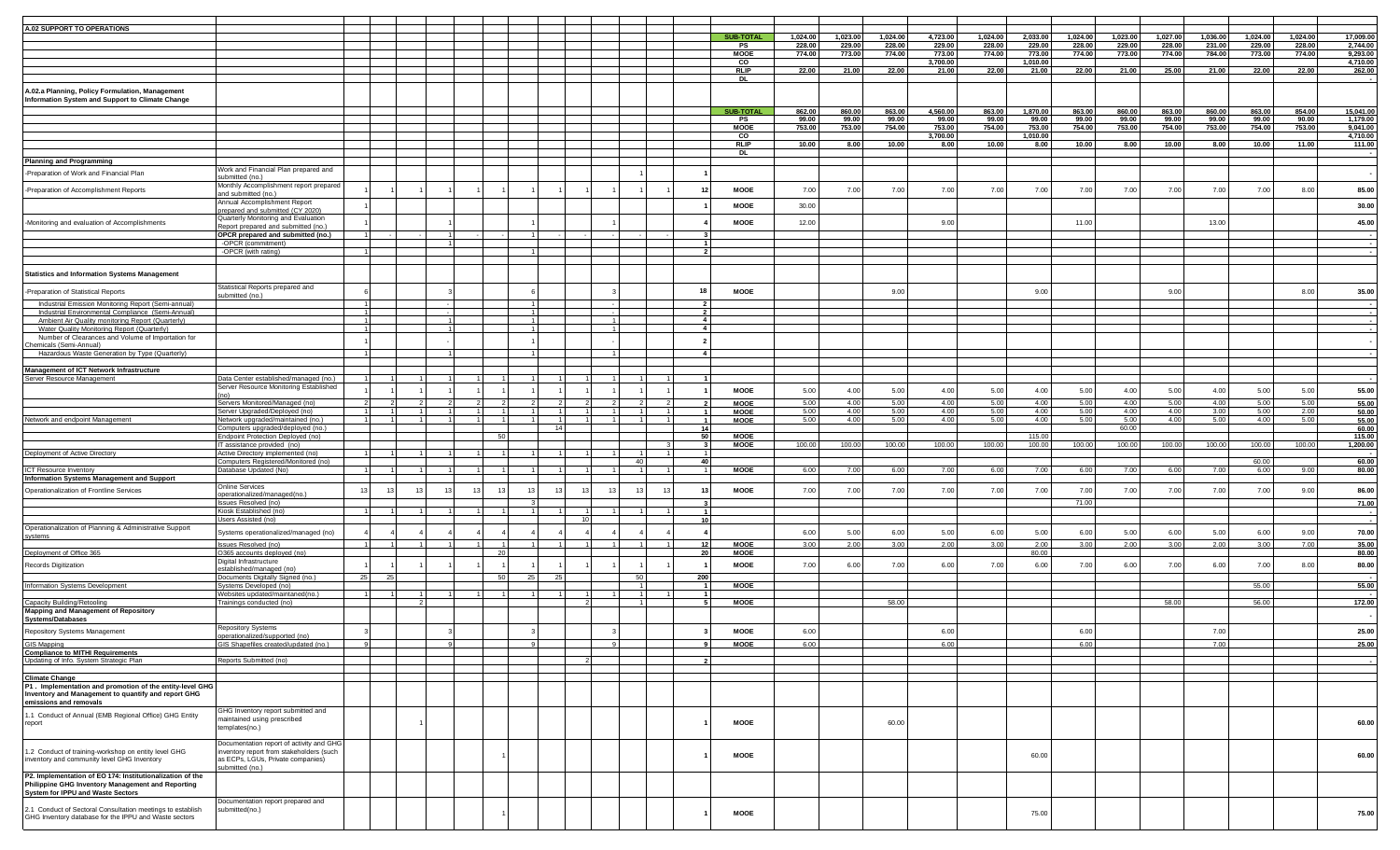| A.02 SUPPORT TO OPERATIONS                                 |                                                             |                |    |    |                |    |    |  |                |                  |          |          |         |          |                  |          |          |          |          |          |          |          |                                             |
|------------------------------------------------------------|-------------------------------------------------------------|----------------|----|----|----------------|----|----|--|----------------|------------------|----------|----------|---------|----------|------------------|----------|----------|----------|----------|----------|----------|----------|---------------------------------------------|
|                                                            |                                                             |                |    |    |                |    |    |  |                | <b>SUB-TOTAL</b> | 1,024.00 | 1,023.00 | 1,024.0 | 4,723.00 | 1,024.00         | 2,033.00 | 1,024.00 | 1,023.00 | 1,027.00 | 1,036.00 | 1,024.00 | 1,024.00 | 17,009.00                                   |
|                                                            |                                                             |                |    |    |                |    |    |  |                | PS               | 228.00   | 229.00   | 228.0   | 229.00   |                  | 229.00   | 228.00   | 229.00   | 228.00   | 231.00   | 229.00   | 228.00   |                                             |
|                                                            |                                                             |                |    |    |                |    |    |  |                | <b>MOOE</b>      | 774.00   | 773.00   | 774.00  | 773.00   | 228.00<br>774.00 | 773.00   | 774.00   | 773.00   | 774.00   | 784.00   | 773.00   | 774.00   | 2,744.00<br>9,293.00<br>4,710.00            |
|                                                            |                                                             |                |    |    |                |    |    |  |                | $_{\rm CO}$      |          |          |         | 3,700.00 |                  | 1,010.00 |          |          |          |          |          |          |                                             |
|                                                            |                                                             |                |    |    |                |    |    |  |                | <b>RLIP</b>      | 22.00    | 21.00    | 22.00   | 21.00    | 22.00            | 21.00    | 22.00    | 21.00    | 25.00    | 21.00    | 22.00    | 22.00    | 262.00                                      |
|                                                            |                                                             |                |    |    |                |    |    |  |                | <b>DL</b>        |          |          |         |          |                  |          |          |          |          |          |          |          |                                             |
|                                                            |                                                             |                |    |    |                |    |    |  |                |                  |          |          |         |          |                  |          |          |          |          |          |          |          |                                             |
| A.02.a Planning, Policy Formulation, Management            |                                                             |                |    |    |                |    |    |  |                |                  |          |          |         |          |                  |          |          |          |          |          |          |          |                                             |
| Information System and Support to Climate Change           |                                                             |                |    |    |                |    |    |  |                |                  |          |          |         |          |                  |          |          |          |          |          |          |          |                                             |
|                                                            |                                                             |                |    |    |                |    |    |  |                |                  |          |          |         |          |                  |          |          |          |          |          |          |          |                                             |
|                                                            |                                                             |                |    |    |                |    |    |  |                | <b>SUB-TOTA</b>  | 862.00   | 860.00   | 863.0   | 4,560.00 | 863.00           | 1,870.00 | 863.00   | 860.00   | 863.00   | 860.00   | 863.00   | 854.00   | 15,041.0                                    |
|                                                            |                                                             |                |    |    |                |    |    |  |                | PS               | 99.00    | 99.00    | 99.00   | 99.00    | 99.00            | 99.00    | 99.00    | 99.00    | 99.00    | 99.00    | 99.00    | 90.00    | 1,179.00                                    |
|                                                            |                                                             |                |    |    |                |    |    |  |                | <b>MOOE</b>      | 753.00   | 753.00   | 754.00  | 753.00   | 754.00           | 753.00   | 754.00   | 753.00   | 754.00   | 753.00   | 754.00   | 753.00   | 9,041.00                                    |
|                                                            |                                                             |                |    |    |                |    |    |  |                | CO               |          |          |         | 3,700.00 |                  | 1,010.00 |          |          |          |          |          |          | 4,710.00                                    |
|                                                            |                                                             |                |    |    |                |    |    |  |                | <b>RLIP</b>      | 10.00    | 8.00     | 10.00   | 8.00     | 10.00            | 8.00     | 10.00    | 8.00     | 10.00    | 8.00     | 10.00    | 11.00    | 111.00                                      |
|                                                            |                                                             |                |    |    |                |    |    |  |                | <b>DL</b>        |          |          |         |          |                  |          |          |          |          |          |          |          |                                             |
| <b>Planning and Programming</b>                            |                                                             |                |    |    |                |    |    |  |                |                  |          |          |         |          |                  |          |          |          |          |          |          |          |                                             |
|                                                            | Work and Financial Plan prepared and                        |                |    |    |                |    |    |  |                |                  |          |          |         |          |                  |          |          |          |          |          |          |          |                                             |
| -Preparation of Work and Financial Plan                    | submitted (no.)                                             |                |    |    |                |    |    |  |                |                  |          |          |         |          |                  |          |          |          |          |          |          |          |                                             |
|                                                            |                                                             |                |    |    |                |    |    |  |                |                  |          |          |         |          |                  |          |          |          |          |          |          |          |                                             |
| -Preparation of Accomplishment Reports                     | Monthly Accomplishment report prepared                      |                |    |    |                |    |    |  | 12             | <b>MOOE</b>      | 7.00     | 7.00     | 7.00    | 7.00     | 7.00             | 7.00     | 7.00     | 7.00     | 7.00     | 7.00     | 7.00     | 8.00     | 85.00                                       |
|                                                            | and submitted (no.)                                         |                |    |    |                |    |    |  |                |                  |          |          |         |          |                  |          |          |          |          |          |          |          |                                             |
|                                                            | Annual Accomplishment Report                                |                |    |    |                |    |    |  |                | MOOE             | 30.00    |          |         |          |                  |          |          |          |          |          |          |          | 30.00                                       |
|                                                            | prepared and submitted (CY 2020)                            |                |    |    |                |    |    |  |                |                  |          |          |         |          |                  |          |          |          |          |          |          |          |                                             |
| -Monitoring and evaluation of Accomplishments              | Quarterly Monitoring and Evaluation                         |                |    |    |                |    |    |  |                | MOOE             | 12.00    |          |         | 9.00     |                  |          | 11.00    |          |          | 13.00    |          |          | 45.00                                       |
|                                                            | Report prepared and submitted (no.)                         |                |    |    |                |    |    |  |                |                  |          |          |         |          |                  |          |          |          |          |          |          |          |                                             |
|                                                            | OPCR prepared and submitted (no.)                           | 1 L            |    |    |                |    |    |  |                |                  |          |          |         |          |                  |          |          |          |          |          |          |          |                                             |
|                                                            | -OPCR (commitment)                                          |                |    |    |                |    |    |  | $\overline{1}$ |                  |          |          |         |          |                  |          |          |          |          |          |          |          |                                             |
|                                                            | -OPCR (with rating)                                         |                |    |    |                |    |    |  | $\overline{2}$ |                  |          |          |         |          |                  |          |          |          |          |          |          |          |                                             |
|                                                            |                                                             |                |    |    |                |    |    |  |                |                  |          |          |         |          |                  |          |          |          |          |          |          |          |                                             |
|                                                            |                                                             |                |    |    |                |    |    |  |                |                  |          |          |         |          |                  |          |          |          |          |          |          |          |                                             |
| <b>Statistics and Information Systems Management</b>       |                                                             |                |    |    |                |    |    |  |                |                  |          |          |         |          |                  |          |          |          |          |          |          |          |                                             |
|                                                            |                                                             |                |    |    |                |    |    |  |                |                  |          |          |         |          |                  |          |          |          |          |          |          |          |                                             |
| -Preparation of Statistical Reports                        | Statistical Reports prepared and                            |                |    |    |                |    |    |  | 18             | <b>MOOE</b>      |          |          | 9.00    |          |                  | 9.00     |          |          | 9.00     |          |          | 8.00     | 35.00                                       |
|                                                            | submitted (no.)                                             |                |    |    |                |    |    |  |                |                  |          |          |         |          |                  |          |          |          |          |          |          |          |                                             |
| Industrial Emission Monitoring Report (Semi-annual)        |                                                             | $\overline{1}$ |    |    |                |    |    |  |                | $\overline{2}$   |          |          |         |          |                  |          |          |          |          |          |          |          |                                             |
| Industrial Environmental Compliance (Semi-Annual)          |                                                             | $-1$           |    |    |                |    |    |  | $\overline{2}$ |                  |          |          |         |          |                  |          |          |          |          |          |          |          |                                             |
| Ambient Air Quality monitoring Report (Quarterly)          |                                                             | $\overline{1}$ |    |    |                |    |    |  |                | $\overline{4}$   |          |          |         |          |                  |          |          |          |          |          |          |          |                                             |
| Water Quality Monitoring Report (Quarterly)                |                                                             |                |    |    |                |    |    |  |                | 4                |          |          |         |          |                  |          |          |          |          |          |          |          |                                             |
| Number of Clearances and Volume of Importation for         |                                                             |                |    |    |                |    |    |  |                |                  |          |          |         |          |                  |          |          |          |          |          |          |          |                                             |
|                                                            |                                                             |                |    |    |                |    |    |  | $\overline{2}$ |                  |          |          |         |          |                  |          |          |          |          |          |          |          |                                             |
| Chemicals (Semi-Annual                                     |                                                             |                |    |    |                |    |    |  |                | 4 I              |          |          |         |          |                  |          |          |          |          |          |          |          |                                             |
| Hazardous Waste Generation by Type (Quarterly)             |                                                             |                |    |    |                |    |    |  |                |                  |          |          |         |          |                  |          |          |          |          |          |          |          |                                             |
|                                                            |                                                             |                |    |    |                |    |    |  |                |                  |          |          |         |          |                  |          |          |          |          |          |          |          |                                             |
| Management of ICT Network Infrastructure                   |                                                             |                |    |    |                |    |    |  |                |                  |          |          |         |          |                  |          |          |          |          |          |          |          |                                             |
| Server Resource Management                                 | Data Center established/managed (no.)                       |                |    | 11 |                |    |    |  | $\overline{1}$ |                  |          |          |         |          |                  |          |          |          |          |          |          |          |                                             |
|                                                            | Server Resource Monitoring Established                      |                |    |    |                |    |    |  |                |                  |          |          |         |          |                  |          |          |          |          |          |          |          |                                             |
|                                                            |                                                             |                |    |    |                |    |    |  |                | <b>MOOE</b>      | 5.00     | 4.00     | 5.00    | 4.00     | 5.00             | 4.00     | 5.00     | 4.00     | 5.00     | 4.00     | 5.00     | 5.00     | 55.00                                       |
|                                                            | Servers Monitored/Managed (no)                              |                |    |    |                |    |    |  |                | <b>MOOE</b>      | 5.00     | 4.0      | 5.0     | 4.0      | 5.00             | 4.00     | 5.00     | 4.00     | 5.00     | 4.00     | 5.00     | 5.00     | $\frac{55.00}{50.00}$ $\frac{55.00}{60.00}$ |
|                                                            | Server Upgraded/Deployed (no)                               |                |    |    |                |    |    |  |                | <b>MOOE</b>      | 5.00     | 4.00     | 5.00    | 4.00     | 5.00             | 4.00     | 5.00     | 4.00     | 4.00     | 3.00     | 5.00     | 2.00     |                                             |
| Network and endpoint Management                            | Network upgraded/maintained (no.)                           |                |    |    |                |    |    |  |                | <b>MOOE</b>      | 5.00     | 4.00     | 5.00    | 4.00     | 5.00             | 4.00     | 5.00     | 5.00     | 4.00     | 5.00     | 4.00     | 5.00     |                                             |
|                                                            |                                                             |                |    |    |                |    | 14 |  |                |                  |          |          |         |          |                  |          |          |          |          |          |          |          |                                             |
|                                                            | computers upgraded/deployed (no.)                           |                |    |    |                |    |    |  | 14             |                  |          |          |         |          |                  |          |          | 60.00    |          |          |          |          |                                             |
|                                                            | Endpoint Protection Deployed (no)                           |                |    |    | 50             |    |    |  | 50             | <b>MOOE</b>      |          |          |         |          |                  | 115.00   |          |          |          |          |          |          | 115.00                                      |
|                                                            | T assistance provided (no)                                  |                |    |    |                |    |    |  |                | <b>MOOE</b>      | 100.00   | 100.00   | 100.0   | 100.00   | 100.00           | 100.00   | 100.00   | 100.00   | 100.00   | 100.0    | 100.00   | 100.00   | 1,200.00                                    |
| Deployment of Active Directory                             | Active Directory implemented (no)                           |                |    |    |                |    |    |  |                |                  |          |          |         |          |                  |          |          |          |          |          |          |          |                                             |
|                                                            | Computers Registered/Monitored (no)                         |                |    |    |                |    |    |  | 40             |                  |          |          |         |          |                  |          |          |          |          |          | 60.00    |          | 60.00                                       |
| <b>ICT Resource Inventory</b>                              | Database Updated (No)                                       |                |    |    |                |    |    |  |                | <b>MOOE</b>      | 6.00     | 7.0      | 6.00    |          | 6.00             | 7.00     | 6.00     | 7.00     | 6.00     |          | 6.00     | 9.00     | 80.00                                       |
| Information Systems Management and Support                 |                                                             |                |    |    |                |    |    |  |                |                  |          |          |         |          |                  |          |          |          |          |          |          |          |                                             |
|                                                            | <b>Online Services</b>                                      |                |    |    |                |    |    |  |                |                  |          |          |         |          |                  |          |          |          |          |          |          |          |                                             |
| Operationalization of Frontline Services                   | pperationalized/managed(no.)                                | 13             | 13 | 13 | 13             |    |    |  | 13             | <b>MOOE</b>      | 7.00     | 7.00     | 7.00    | 7.00     | 7.00             | 7.00     | 7.00     | 7.00     | 7.00     | 7.00     | 7.00     | 9.00     | 86.00                                       |
|                                                            | <b>Issues Resolved</b> (no                                  |                |    |    |                |    |    |  |                |                  |          |          |         |          |                  |          | 71.00    |          |          |          |          |          | 71.00                                       |
|                                                            | Kiosk Established (no                                       |                |    |    |                |    |    |  | $\overline{1}$ |                  |          |          |         |          |                  |          |          |          |          |          |          |          |                                             |
|                                                            |                                                             |                |    |    |                |    |    |  |                | 10               |          |          |         |          |                  |          |          |          |          |          |          |          |                                             |
|                                                            | Users Assisted (no)                                         |                |    |    |                |    |    |  |                |                  |          |          |         |          |                  |          |          |          |          |          |          |          |                                             |
| Operationalization of Planning & Administrative Support    | Systems operationalized/managed (no)                        |                |    |    |                |    |    |  |                |                  | 6.00     | 5.00     | 6.00    | 5.00     | 6.00             | 5.00     | 6.00     | 5.00     | 6.00     | 5.00     | 6.00     | 9.00     | 70.00                                       |
| systems                                                    |                                                             |                |    |    |                |    |    |  |                |                  |          |          |         |          |                  |          |          |          |          |          |          |          |                                             |
|                                                            | Issues Resolved (no)                                        |                |    |    | $\overline{1}$ |    |    |  | 12             | <b>MOOE</b>      | 3.00     | 2.00     | 3.00    | 2.00     | 3.00             | 2.00     | 3.00     | 2.00     | 3.00     | 2.00     | 3.00     | 7.00     | 35.00                                       |
| Deployment of Office 365                                   | O365 accounts deployed (no)                                 |                |    |    | 20             |    |    |  | 20             | <b>MOOE</b>      |          |          |         |          |                  | 80.00    |          |          |          |          |          |          | 80.00                                       |
| Records Digitization                                       | Digital Infrastructure                                      |                |    |    |                |    |    |  |                | <b>MOOE</b>      | 7.00     | 6.00     | 7.00    | 6.00     | 7.00             | 6.00     | 7.00     | 6.00     | 7.00     | 6.00     | 7.00     | 8.00     | 80.00                                       |
|                                                            | established/managed (no)                                    |                |    |    |                |    |    |  |                |                  |          |          |         |          |                  |          |          |          |          |          |          |          |                                             |
|                                                            | Documents Digitally Signed (no.)                            | 25             |    |    | 50             | 25 | 25 |  | 200            |                  |          |          |         |          |                  |          |          |          |          |          |          |          |                                             |
| Information Systems Development                            | Systems Developed (no)                                      |                |    |    |                |    |    |  | $\overline{1}$ | <b>MOOE</b>      |          |          |         |          |                  |          |          |          |          |          | 55.00    |          | 55.00                                       |
|                                                            | Websites updated/maintaned(no.)                             |                |    |    |                |    |    |  | $\overline{1}$ |                  |          |          |         |          |                  |          |          |          |          |          |          |          |                                             |
| Capacity Building/Retooling                                | Trainings conducted (no)                                    |                |    |    |                |    |    |  |                | <b>MOOE</b>      |          |          | 58.00   |          |                  |          |          |          | 58.00    |          | 56.00    |          | 172.00                                      |
| Mapping and Management of Repository                       |                                                             |                |    |    |                |    |    |  |                |                  |          |          |         |          |                  |          |          |          |          |          |          |          |                                             |
|                                                            |                                                             |                |    |    |                |    |    |  |                |                  |          |          |         |          |                  |          |          |          |          |          |          |          |                                             |
| <b>Systems/Databases</b>                                   |                                                             |                |    |    |                |    |    |  |                |                  |          |          |         |          |                  |          |          |          |          |          |          |          |                                             |
| Repository Systems Management                              | <b>Repository Systems</b><br>operationalized/supported (no) |                |    |    |                |    |    |  |                | <b>MOOE</b>      | 6.00     |          |         | 6.00     |                  |          | 6.00     |          |          | 7.00     |          |          | 25.00                                       |
|                                                            |                                                             |                |    |    |                |    |    |  |                |                  |          |          |         |          |                  |          |          |          |          |          |          |          |                                             |
| <b>GIS Mapping</b>                                         | GIS Shapefiles created/updated (no.)                        |                |    |    |                |    |    |  |                | <b>MOOE</b>      | 6.00     |          |         | 6.00     |                  |          | 6.00     |          |          | 7.00     |          |          | 25.00                                       |
| <b>Compliance to MITHI Requirements</b>                    |                                                             |                |    |    |                |    |    |  |                |                  |          |          |         |          |                  |          |          |          |          |          |          |          |                                             |
| Updating of Info. System Strategic Plan                    | Reports Submitted (no)                                      |                |    |    |                |    |    |  |                |                  |          |          |         |          |                  |          |          |          |          |          |          |          |                                             |
|                                                            |                                                             |                |    |    |                |    |    |  |                |                  |          |          |         |          |                  |          |          |          |          |          |          |          |                                             |
| <b>Climate Change</b>                                      |                                                             |                |    |    |                |    |    |  |                |                  |          |          |         |          |                  |          |          |          |          |          |          |          |                                             |
| P1 . Implementation and promotion of the entity-level GHG  |                                                             |                |    |    |                |    |    |  |                |                  |          |          |         |          |                  |          |          |          |          |          |          |          |                                             |
| Inventory and Management to quantify and report GHG        |                                                             |                |    |    |                |    |    |  |                |                  |          |          |         |          |                  |          |          |          |          |          |          |          |                                             |
| emissions and removals                                     |                                                             |                |    |    |                |    |    |  |                |                  |          |          |         |          |                  |          |          |          |          |          |          |          |                                             |
|                                                            | GHG Inventory report submitted and                          |                |    |    |                |    |    |  |                |                  |          |          |         |          |                  |          |          |          |          |          |          |          |                                             |
| 1.1 Conduct of Annual (EMB Regional Office) GHG Entity     |                                                             |                |    |    |                |    |    |  |                |                  |          |          |         |          |                  |          |          |          |          |          |          |          |                                             |
| report                                                     | maintained using prescribed                                 |                |    |    |                |    |    |  |                | <b>MOOE</b>      |          |          | 60.00   |          |                  |          |          |          |          |          |          |          | 60.00                                       |
|                                                            | templates(no.)                                              |                |    |    |                |    |    |  |                |                  |          |          |         |          |                  |          |          |          |          |          |          |          |                                             |
|                                                            |                                                             |                |    |    |                |    |    |  |                |                  |          |          |         |          |                  |          |          |          |          |          |          |          |                                             |
|                                                            | Documentation report of activity and GHG                    |                |    |    |                |    |    |  |                |                  |          |          |         |          |                  |          |          |          |          |          |          |          |                                             |
| 1.2 Conduct of training-workshop on entity level GHG       | inventory report from stakeholders (such                    |                |    |    |                |    |    |  |                | <b>MOOE</b>      |          |          |         |          |                  | 60.00    |          |          |          |          |          |          | 60.00                                       |
| inventory and community level GHG Inventory                | as ECPs, LGUs, Private companies)                           |                |    |    |                |    |    |  |                |                  |          |          |         |          |                  |          |          |          |          |          |          |          |                                             |
|                                                            | submitted (no.)                                             |                |    |    |                |    |    |  |                |                  |          |          |         |          |                  |          |          |          |          |          |          |          |                                             |
| P2. Implementation of EO 174: Institutionalization of the  |                                                             |                |    |    |                |    |    |  |                |                  |          |          |         |          |                  |          |          |          |          |          |          |          |                                             |
| Philippine GHG Inventory Management and Reporting          |                                                             |                |    |    |                |    |    |  |                |                  |          |          |         |          |                  |          |          |          |          |          |          |          |                                             |
| System for IPPU and Waste Sectors                          |                                                             |                |    |    |                |    |    |  |                |                  |          |          |         |          |                  |          |          |          |          |          |          |          |                                             |
|                                                            |                                                             |                |    |    |                |    |    |  |                |                  |          |          |         |          |                  |          |          |          |          |          |          |          |                                             |
|                                                            | Documentation report prepared and<br>submitted(no.)         |                |    |    |                |    |    |  |                |                  |          |          |         |          |                  |          |          |          |          |          |          |          |                                             |
| 2.1 Conduct of Sectoral Consultation meetings to establish |                                                             |                |    |    |                |    |    |  |                | <b>MOOE</b>      |          |          |         |          |                  | 75.00    |          |          |          |          |          |          | 75.00                                       |
| GHG Inventory database for the IPPU and Waste sectors      |                                                             |                |    |    |                |    |    |  |                |                  |          |          |         |          |                  |          |          |          |          |          |          |          |                                             |
|                                                            |                                                             |                |    |    |                |    |    |  |                |                  |          |          |         |          |                  |          |          |          |          |          |          |          |                                             |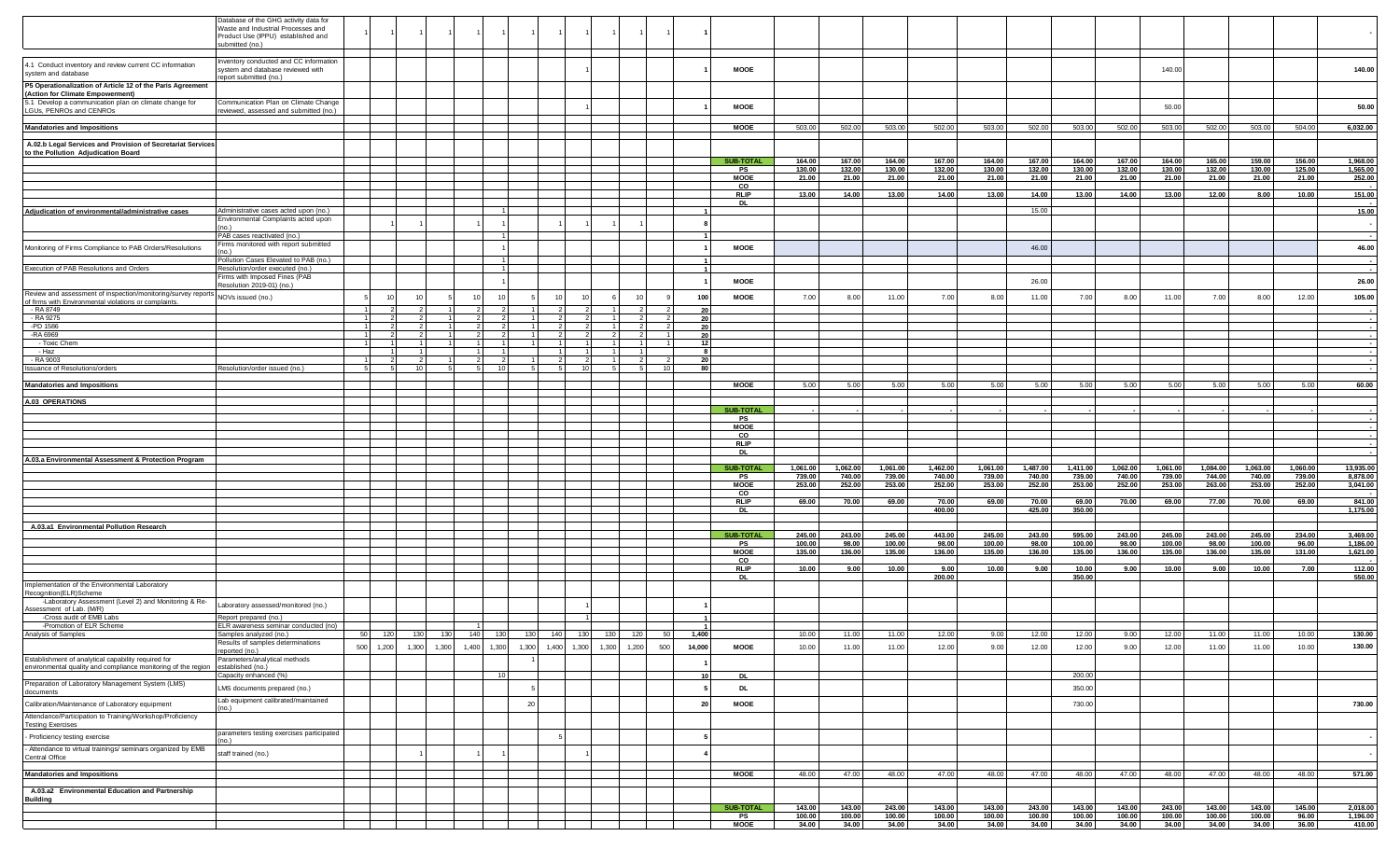|                                                                                                                                          | atabase of the GHG activity data for<br>Vaste and Industrial Processes and<br>Product Use (IPPU) established and |    |           |                 |       |               |                        |       |             |            |             |           |          |                            |                    |                    |                    |                                  |                    |                                  |                    |                    |                    |                                  |                    |                    |                       |
|------------------------------------------------------------------------------------------------------------------------------------------|------------------------------------------------------------------------------------------------------------------|----|-----------|-----------------|-------|---------------|------------------------|-------|-------------|------------|-------------|-----------|----------|----------------------------|--------------------|--------------------|--------------------|----------------------------------|--------------------|----------------------------------|--------------------|--------------------|--------------------|----------------------------------|--------------------|--------------------|-----------------------|
|                                                                                                                                          | ubmitted (no.)<br>nventory conducted and CC information                                                          |    |           |                 |       |               |                        |       |             |            |             |           |          |                            |                    |                    |                    |                                  |                    |                                  |                    |                    |                    |                                  |                    |                    |                       |
| 4.1 Conduct inventory and review current CC information<br>system and database                                                           | system and database reviewed with<br>eport submitted (no.)                                                       |    |           |                 |       |               |                        |       |             |            |             |           |          | <b>MOOE</b>                |                    |                    |                    |                                  |                    |                                  |                    |                    | 140.00             |                                  |                    |                    | 140.00                |
| P5 Operationalization of Article 12 of the Paris Agreement<br>(Action for Climate Empowerment)                                           |                                                                                                                  |    |           |                 |       |               |                        |       |             |            |             |           |          |                            |                    |                    |                    |                                  |                    |                                  |                    |                    |                    |                                  |                    |                    |                       |
| 5.1 Develop a communication plan on climate change for<br>LGUs, PENROs and CENROs                                                        | Communication Plan on Climate Change<br>eviewed, assessed and submitted (no.)                                    |    |           |                 |       |               |                        |       |             |            |             |           |          | <b>MOOE</b>                |                    |                    |                    |                                  |                    |                                  |                    |                    | 50.00              |                                  |                    |                    | 50.00                 |
| <b>Mandatories and Impositions</b>                                                                                                       |                                                                                                                  |    |           |                 |       |               |                        |       |             |            |             |           |          | <b>MOOE</b>                | 503.00             | 502.00             | 503.00             | 502.00                           | 503.00             | 502.00                           | 503.00             | 502.00             | 503.00             | 502.00                           | 503.00             | 504.00             | 6,032.00              |
| A.02.b Legal Services and Provision of Secretariat Services                                                                              |                                                                                                                  |    |           |                 |       |               |                        |       |             |            |             |           |          |                            |                    |                    |                    |                                  |                    |                                  |                    |                    |                    |                                  |                    |                    |                       |
| to the Pollution Adjudication Board                                                                                                      |                                                                                                                  |    |           |                 |       |               |                        |       |             |            |             |           |          | <b>SUB-TOTAL</b>           | 164.00             | 167.00             | 164.00             | 167.00                           | 164.00             | 167.00                           | 164.00             | 167.00             | 164.00             | 165.00                           | 159.00             | 156.00             | 1,968.00              |
|                                                                                                                                          |                                                                                                                  |    |           |                 |       |               |                        |       |             |            |             |           |          | PS<br><b>MOOE</b>          | 130.00<br>21.00    | 132.00<br>21.00    | 130.00<br>21.00    | 132.00<br>21.00                  | 130.00<br>21.00    | 132.00<br>21.00                  | 130.00<br>21.00    | 132.00<br>21.00    | 130.00<br>21.00    | 132.00<br>21.00                  | 130.00<br>21.00    | 125.00<br>21.00    | 1,565.00<br>252.00    |
|                                                                                                                                          |                                                                                                                  |    |           |                 |       |               |                        |       |             |            |             |           |          | co<br><b>RLIP</b>          | 13.00              | 14.00              | 13.00              | 14.00                            | 13.00              | 14.00                            | 13.00              | 14.00              | 13.00              | 12.00                            | 8.00               | 10.00              | 151.00                |
|                                                                                                                                          |                                                                                                                  |    |           |                 |       |               |                        |       |             |            |             |           |          | <b>DL</b>                  |                    |                    |                    |                                  |                    |                                  |                    |                    |                    |                                  |                    |                    |                       |
| Adjudication of environmental/administrative cases                                                                                       | Administrative cases acted upon (no.)<br>Environmental Complaints acted upon                                     |    |           |                 |       |               |                        |       |             |            |             |           |          |                            |                    |                    |                    |                                  |                    | 15.00                            |                    |                    |                    |                                  |                    |                    | 15.00                 |
|                                                                                                                                          | PAB cases reactivated (no.)                                                                                      |    |           |                 |       |               |                        |       |             |            |             |           |          |                            |                    |                    |                    |                                  |                    |                                  |                    |                    |                    |                                  |                    |                    |                       |
| Monitoring of Firms Compliance to PAB Orders/Resolutions                                                                                 | Firms monitored with report submitted                                                                            |    |           |                 |       |               |                        |       |             |            |             |           |          | <b>MOOE</b>                |                    |                    |                    |                                  |                    | 46.00                            |                    |                    |                    |                                  |                    |                    | 46.00                 |
| Execution of PAB Resolutions and Orders                                                                                                  | Pollution Cases Elevated to PAB (no.)<br>Resolution/order executed (no.)                                         |    |           |                 |       |               | $\overline{1}$<br>- 11 |       |             |            |             |           |          |                            |                    |                    |                    |                                  |                    |                                  |                    |                    |                    |                                  |                    |                    |                       |
|                                                                                                                                          | Firms with Imposed Fines (PAB<br>Resolution 2019-01) (no.)                                                       |    |           |                 |       |               |                        |       |             |            |             |           |          | MOOE                       |                    |                    |                    |                                  |                    | 26.00                            |                    |                    |                    |                                  |                    |                    | 26.00                 |
| Review and assessment of inspection/monitoring/survey reports NOVs issued (no.)<br>of firms with Environmental violations or complaints. |                                                                                                                  |    |           |                 |       |               | 10                     |       |             |            |             |           | 100      | MOOE                       | 7.00               | 8.00               | 11.00              | 7.00                             | 8.00               | 11.00                            | 7.00               | 8.00               | 11.00              | 7.00                             | 8.00               | 12.00              | 105.00                |
| $-RA 8749$<br>- RA 9275                                                                                                                  |                                                                                                                  | 11 |           | $\overline{2}$  |       | $\mathcal{P}$ | $\overline{2}$         |       |             |            |             |           | 20       |                            |                    |                    |                    |                                  |                    |                                  |                    |                    |                    |                                  |                    |                    |                       |
| -PD 1586                                                                                                                                 |                                                                                                                  |    |           | 21              |       |               |                        |       |             |            |             |           | 20<br>20 |                            |                    |                    |                    |                                  |                    |                                  |                    |                    |                    |                                  |                    |                    | $\sim$                |
| -RA 6969<br>- Toxic Chem                                                                                                                 |                                                                                                                  |    |           | $\overline{2}$  | 1 I   | $\mathbf{1}$  | 2<br>-1 I              |       |             |            |             |           | 20<br>12 |                            |                    |                    |                    |                                  |                    |                                  |                    |                    |                    |                                  |                    |                    | $\sim$                |
| - Haz<br>- RA 9003                                                                                                                       |                                                                                                                  |    |           | $\overline{2}$  |       |               | 2                      |       |             |            |             |           | -8<br>20 |                            |                    |                    |                    |                                  |                    |                                  |                    |                    |                    |                                  |                    |                    |                       |
| Issuance of Resolutions/orders                                                                                                           | Resolution/order issued (no.)                                                                                    |    |           | 10 <sup>1</sup> |       |               | <b>10</b>              |       |             | 10         |             | $10^{-1}$ | 80       |                            |                    |                    |                    |                                  |                    |                                  |                    |                    |                    |                                  |                    |                    |                       |
| <b>Mandatories and Impositions</b>                                                                                                       |                                                                                                                  |    |           |                 |       |               |                        |       |             |            |             |           |          | <b>MOOE</b>                | 5.00               | 5.00               | 5.00               | 5.00                             | 5.00               | 5.00                             | 5.00               | 5.00               | 5.00               | 5.00                             | 5.00               | 5.00               | 60.00                 |
| A.03 OPERATIONS                                                                                                                          |                                                                                                                  |    |           |                 |       |               |                        |       |             |            |             |           |          |                            |                    |                    |                    |                                  |                    |                                  |                    |                    |                    |                                  |                    |                    |                       |
|                                                                                                                                          |                                                                                                                  |    |           |                 |       |               |                        |       |             |            |             |           |          | <b>SUB-TOTAL</b><br>PS     |                    |                    |                    |                                  |                    |                                  |                    |                    |                    |                                  |                    |                    |                       |
|                                                                                                                                          |                                                                                                                  |    |           |                 |       |               |                        |       |             |            |             |           |          | <b>MOOE</b><br>$_{\rm CO}$ |                    |                    |                    |                                  |                    |                                  |                    |                    |                    |                                  |                    |                    |                       |
|                                                                                                                                          |                                                                                                                  |    |           |                 |       |               |                        |       |             |            |             |           |          | <b>RLIP</b>                |                    |                    |                    |                                  |                    |                                  |                    |                    |                    |                                  |                    |                    |                       |
| A.03.a Environmental Assessment & Protection Program                                                                                     |                                                                                                                  |    |           |                 |       |               |                        |       |             |            |             |           |          | DL                         |                    |                    |                    |                                  |                    |                                  |                    |                    |                    |                                  |                    |                    | $\sim$                |
|                                                                                                                                          |                                                                                                                  |    |           |                 |       |               |                        |       |             |            |             |           |          | <b>SUB-TOTAL</b><br>PS     | 1,061.00<br>739.00 | 1,062.00<br>740.00 | 1,061.00<br>739.00 | 1,462.00<br>740.00               | 1,061.00<br>739.00 | 1,487.00<br>740.00               | 1,411.00<br>739.00 | 1,062.00<br>740.00 | 1,061.00<br>739.00 | 1,084.00<br>744.00               | 1,063.00<br>740.00 | 1,060.00<br>739.00 | 13,935.00<br>8,878.00 |
|                                                                                                                                          |                                                                                                                  |    |           |                 |       |               |                        |       |             |            |             |           |          | <b>MOOE</b><br>$_{\rm co}$ | 253.00             | 252.00             | 253.00             | 252.00                           | 253.00             | 252.00                           | 253.00             | 252.00             | 253.00             | 263.00                           | 253.00             | 252.00             | 3,041.00              |
|                                                                                                                                          |                                                                                                                  |    |           |                 |       |               |                        |       |             |            |             |           |          | RLIP<br>DL                 | 69.00              | 70.00              | 69.00              | 70.00<br>400.00                  | 69.00              | 70.00<br>425.00                  | 69.00<br>350.00    | 70.00              | 69.00              | 77.00                            | 70.00              | 69.00              | 841.00<br>1,175.00    |
|                                                                                                                                          |                                                                                                                  |    |           |                 |       |               |                        |       |             |            |             |           |          |                            |                    |                    |                    |                                  |                    |                                  |                    |                    |                    |                                  |                    |                    |                       |
| A.03.a1 Environmental Pollution Research                                                                                                 |                                                                                                                  |    |           |                 |       |               |                        |       |             |            |             |           |          | <b>SUB-TOTAL</b>           | 245.00             | 243.00             | 245.00             | 443.00                           | 245.00             | 243.00                           | 595.00             | 243.00             | 245.00             | 243.00                           | 245.00             | 234.00             | 3,469.00              |
|                                                                                                                                          |                                                                                                                  |    |           |                 |       |               |                        |       |             |            |             |           |          | PS<br><b>MOOE</b>          | 100.00<br>135.00   | 98.00<br>136.00    | 100.00<br>135.00   | 98.00<br>136.00                  | 100.00<br>135.00   | 98.00<br>136.00                  | 100.00<br>135.00   | 98.00<br>136.00    | 100.00<br>135.00   | 98.00<br>136.00                  | 100.00<br>135.00   | 96.00<br>131.00    | 1,186.00<br>1,621.00  |
|                                                                                                                                          |                                                                                                                  |    |           |                 |       |               |                        |       |             |            |             |           |          | $_{\rm co}$<br>RLIP        | 10.00              | 9.00               | 10.00              | 9.00                             | 10.00              | 9.00                             | 10.00              | 9.00               | 10.00              | 9.00                             | 10.00              | 7.00               | 112.00                |
|                                                                                                                                          |                                                                                                                  |    |           |                 |       |               |                        |       |             |            |             |           |          | DL                         |                    |                    |                    | 200.00                           |                    |                                  | 350.00             |                    |                    |                                  |                    |                    | 550.00                |
| Implementation of the Environmental Laboratory<br>Recognition(ELR)Scheme                                                                 |                                                                                                                  |    |           |                 |       |               |                        |       |             |            |             |           |          |                            |                    |                    |                    |                                  |                    |                                  |                    |                    |                    |                                  |                    |                    |                       |
| -Laboratory Assessment (Level 2) and Monitoring & Re-<br>Assessment of Lab. (M/R)                                                        | Laboratory assessed/monitored (no.)                                                                              |    |           |                 |       |               |                        |       |             |            |             |           |          |                            |                    |                    |                    |                                  |                    |                                  |                    |                    |                    |                                  |                    |                    |                       |
| -Cross audit of EMB Labs<br>-Promotion of ELR Scheme                                                                                     | Report prepared (no.)<br>ELR awareness seminar conducted (no)                                                    |    |           |                 |       |               |                        |       |             |            |             |           |          |                            |                    |                    |                    |                                  |                    |                                  |                    |                    |                    |                                  |                    |                    |                       |
| -Promotion of E<br>Analysis of Samples                                                                                                   | Samples analyzed (no.)<br>Results of samples determinations                                                      | 50 | 120       | 130             | 130   | 140           | 130                    | 130   | 140         | 130<br>130 | 120         | 50        | 1,400    |                            | 10.00              | 11.00              | 11.00              | 12.00                            | 9.00               | 12.00                            | 12.00              | 9.00               | 12.00              | 11.00                            | 11.00              | 10.00              | 130.00                |
| Establishment of analytical capability required for                                                                                      | eported (no.)<br>Parameters/analytical methods                                                                   |    | 500 1,200 | 1,300           | 1,300 | 1,400         | 1,300                  | 1,300 | 1,400 1,300 |            | 1,300 1,200 | 500       | 14,000   | <b>MOOE</b>                | 10.00              | 11.00              | 11.00              | 12.00                            | 9.00               | 12.00                            | 12.00              | 9.00               | 12.00              | 11.00                            | 11.00              | 10.00              | 130.00                |
| environmental quality and compliance monitoring of the region                                                                            | established (no.)<br>Capacity enhanced (%)                                                                       |    |           |                 |       |               | 10 <sup>1</sup>        |       |             |            |             |           | 10       | DL                         |                    |                    |                    |                                  |                    |                                  | 200.00             |                    |                    |                                  |                    |                    |                       |
| Preparation of Laboratory Management System (LMS)<br>documents                                                                           | LMS documents prepared (no.)                                                                                     |    |           |                 |       |               |                        |       |             |            |             |           |          | DL                         |                    |                    |                    |                                  |                    |                                  | 350.00             |                    |                    |                                  |                    |                    |                       |
| Calibration/Maintenance of Laboratory equipment                                                                                          | Lab equipment calibrated/maintained<br>no.)                                                                      |    |           |                 |       |               |                        | 20    |             |            |             |           | -20      | <b>MOOE</b>                |                    |                    |                    |                                  |                    |                                  | 730.00             |                    |                    |                                  |                    |                    | 730.00                |
| Attendance/Participation to Training/Workshop/Proficiency<br><b>Testing Exercises</b>                                                    |                                                                                                                  |    |           |                 |       |               |                        |       |             |            |             |           |          |                            |                    |                    |                    |                                  |                    |                                  |                    |                    |                    |                                  |                    |                    |                       |
| - Proficiency testing exercise                                                                                                           | parameters testing exercises participated<br>nn 1                                                                |    |           |                 |       |               |                        |       |             |            |             |           |          |                            |                    |                    |                    |                                  |                    |                                  |                    |                    |                    |                                  |                    |                    |                       |
| - Attendance to virtual trainings/ seminars organized by EMB<br>Central Office                                                           | staff trained (no.)                                                                                              |    |           |                 |       |               |                        |       |             |            |             |           |          |                            |                    |                    |                    |                                  |                    |                                  |                    |                    |                    |                                  |                    |                    |                       |
| <b>Mandatories and Impositions</b>                                                                                                       |                                                                                                                  |    |           |                 |       |               |                        |       |             |            |             |           |          | <b>MOOE</b>                | 48.00              | 47.00              | 48.00              | 47.00                            | 48.00              | 47.00                            | 48.00              | 47.00              | 48.00              | 47.00                            | 48.00              | 48.00              | 571.00                |
| A.03.a2 Environmental Education and Partnership                                                                                          |                                                                                                                  |    |           |                 |       |               |                        |       |             |            |             |           |          |                            |                    |                    |                    |                                  |                    |                                  |                    |                    |                    |                                  |                    |                    |                       |
| <b>Building</b>                                                                                                                          |                                                                                                                  |    |           |                 |       |               |                        |       |             |            |             |           |          |                            |                    |                    |                    |                                  |                    |                                  |                    |                    |                    |                                  |                    |                    |                       |
|                                                                                                                                          |                                                                                                                  |    |           |                 |       |               |                        |       |             |            |             |           |          | <b>SUB-TOTAL</b><br>PS     | 143.00<br>100.00   | 143.00<br>100.00   | 243.00<br>100.00   | 143.00<br>$\frac{100.00}{34.00}$ | 143.00<br>100.00   | 243.00<br>$\frac{100.00}{34.00}$ | 143.00<br>100.00   | 143.00<br>100.00   | 243.00<br>100.00   | 143.00<br>$\frac{100.00}{34.00}$ | 143.00<br>100.00   | 145.00<br>96.00    | 2,018.00<br>1,196.00  |
|                                                                                                                                          |                                                                                                                  |    |           |                 |       |               |                        |       |             |            |             |           |          | <b>MOOE</b>                | 34.00              | 34.00              | 34.00              |                                  | 34.00              |                                  | 34.00              | 34.00              | 34.00              |                                  | 34.00              | 36.00              | 410.00                |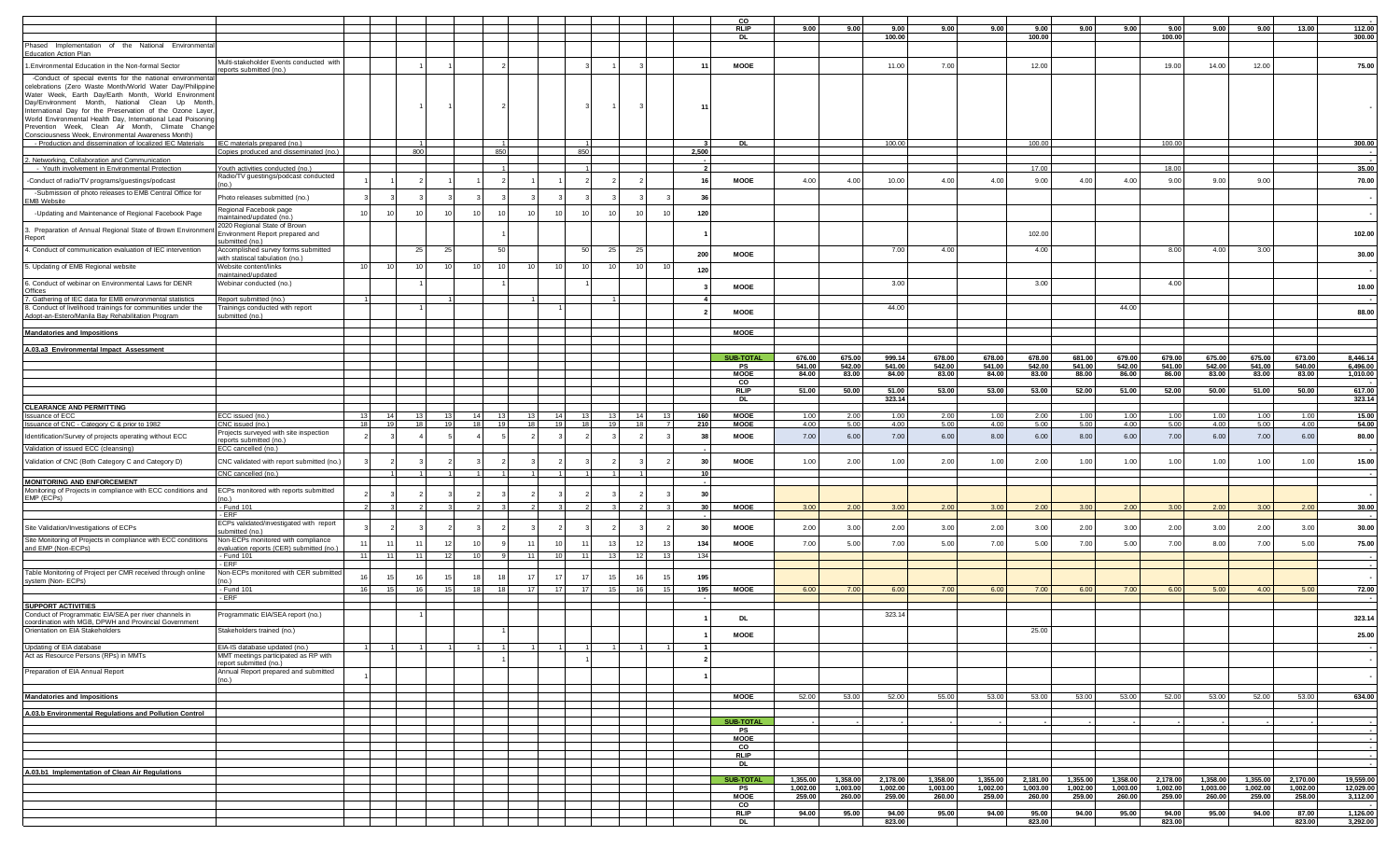|                                                                                                                                                                                                                                                                                                                                                                                                                  |                                                                                    |                        |                 |                 |                 |      |                 |             |                        |     |    |                 | C.C                    |                      |                  |                      |                  |                  |                  |                      |                  |                      |                  |                  |          |                        |
|------------------------------------------------------------------------------------------------------------------------------------------------------------------------------------------------------------------------------------------------------------------------------------------------------------------------------------------------------------------------------------------------------------------|------------------------------------------------------------------------------------|------------------------|-----------------|-----------------|-----------------|------|-----------------|-------------|------------------------|-----|----|-----------------|------------------------|----------------------|------------------|----------------------|------------------|------------------|------------------|----------------------|------------------|----------------------|------------------|------------------|----------|------------------------|
|                                                                                                                                                                                                                                                                                                                                                                                                                  |                                                                                    |                        |                 |                 |                 |      |                 |             |                        |     |    |                 | <b>RLIP</b>            | 9.00                 | 9.00             | 9.00                 | 9.00             | 9.00             | 9.00             | 9.00                 | 9.00             | 9.00                 | 9.00             | 9.00             | 13.00    | 112.00                 |
|                                                                                                                                                                                                                                                                                                                                                                                                                  |                                                                                    |                        |                 |                 |                 |      |                 |             |                        |     |    |                 | <b>DL</b>              |                      |                  | 100.00               |                  |                  | 100.00           |                      |                  | 100.00               |                  |                  |          | 300.00                 |
| Phased Implementation of the National Environmenta                                                                                                                                                                                                                                                                                                                                                               |                                                                                    |                        |                 |                 |                 |      |                 |             |                        |     |    |                 |                        |                      |                  |                      |                  |                  |                  |                      |                  |                      |                  |                  |          |                        |
| Education Action Plan                                                                                                                                                                                                                                                                                                                                                                                            |                                                                                    |                        |                 |                 |                 |      |                 |             |                        |     |    |                 |                        |                      |                  |                      |                  |                  |                  |                      |                  |                      |                  |                  |          |                        |
| 1. Environmental Education in the Non-formal Sector                                                                                                                                                                                                                                                                                                                                                              | Multi-stakeholder Events conducted with                                            |                        |                 |                 |                 |      |                 |             |                        |     |    | 11              | <b>MOOE</b>            |                      |                  | 11.00                | 7.00             |                  | 12.00            |                      |                  | 19.00                | 14.00            | 12.00            |          | 75.00                  |
|                                                                                                                                                                                                                                                                                                                                                                                                                  | eports submitted (no.)                                                             |                        |                 |                 |                 |      |                 |             |                        |     |    |                 |                        |                      |                  |                      |                  |                  |                  |                      |                  |                      |                  |                  |          |                        |
| -Conduct of special events for the national environmenta<br>celebrations (Zero Waste Month/World Water Day/Philippine<br>Water Week, Earth Day/Earth Month, World Environment<br>Day/Environment Month, National Clean Up Month<br>International Day for the Preservation of the Ozone Layer<br>World Environmental Health Day, International Lead Poisoning<br>Prevention Week, Clean Air Month, Climate Change |                                                                                    |                        |                 |                 |                 |      |                 |             |                        |     |    | 11              |                        |                      |                  |                      |                  |                  |                  |                      |                  |                      |                  |                  |          |                        |
| Consciousness Week, Environmental Awareness Month)                                                                                                                                                                                                                                                                                                                                                               |                                                                                    |                        |                 |                 |                 |      |                 |             |                        |     |    |                 |                        |                      |                  |                      |                  |                  |                  |                      |                  |                      |                  |                  |          |                        |
| - Production and dissemination of localized IEC Materials   IEC materials prepared (no.)                                                                                                                                                                                                                                                                                                                         |                                                                                    |                        |                 |                 |                 |      |                 |             |                        |     |    |                 | <b>DL</b>              |                      |                  | 100.00               |                  |                  | 100.00           |                      |                  | 100.00               |                  |                  |          | 300.00                 |
|                                                                                                                                                                                                                                                                                                                                                                                                                  | Copies produced and disseminated (no.)                                             |                        | 800             |                 |                 | 85   |                 |             | 850                    |     |    | 2,500           |                        |                      |                  |                      |                  |                  |                  |                      |                  |                      |                  |                  |          |                        |
| 2. Networking, Collaboration and Communication                                                                                                                                                                                                                                                                                                                                                                   |                                                                                    |                        |                 |                 |                 |      |                 |             |                        |     |    |                 |                        |                      |                  |                      |                  |                  |                  |                      |                  |                      |                  |                  |          |                        |
| - Youth involvement in Environmental Protection                                                                                                                                                                                                                                                                                                                                                                  | Youth activities conducted (no.)                                                   |                        |                 |                 |                 |      |                 |             |                        |     |    |                 |                        |                      |                  |                      |                  |                  | 17.00            |                      |                  | 18.00                |                  |                  |          | 35.00                  |
|                                                                                                                                                                                                                                                                                                                                                                                                                  | Radio/TV guestings/podcast conducted                                               |                        |                 |                 |                 |      |                 |             |                        |     |    | 16              | <b>MOOE</b>            |                      |                  |                      |                  |                  |                  |                      |                  | 9.00                 |                  | 9.00             |          |                        |
| -Conduct of radio/TV programs/guestings/podcast                                                                                                                                                                                                                                                                                                                                                                  |                                                                                    |                        |                 |                 |                 |      |                 |             |                        |     |    |                 |                        | 4.00                 | 4.00             | 10.00                | 4.00             | 4.00             | 9.00             | 4.00                 | 4.00             |                      | 9.00             |                  |          | 70.00                  |
| -Submission of photo releases to EMB Central Office for<br>EMB Website                                                                                                                                                                                                                                                                                                                                           | Photo releases submitted (no.)                                                     |                        |                 |                 |                 |      |                 |             |                        |     |    | 36              |                        |                      |                  |                      |                  |                  |                  |                      |                  |                      |                  |                  |          |                        |
| -Updating and Maintenance of Regional Facebook Page                                                                                                                                                                                                                                                                                                                                                              | Regional Facebook page<br>naintained/updated (no.)                                 | 10                     | 10              |                 | 10              | 10   | 10              | 10          | 10<br>10               |     | 10 | 120             |                        |                      |                  |                      |                  |                  |                  |                      |                  |                      |                  |                  |          |                        |
| . Preparation of Annual Regional State of Brown Environmer<br>Report                                                                                                                                                                                                                                                                                                                                             | 2020 Regional State of Brown<br>Environment Report prepared and<br>submitted (no.) |                        |                 |                 |                 |      |                 |             |                        |     |    |                 |                        |                      |                  |                      |                  |                  | 102.00           |                      |                  |                      |                  |                  |          | 102.00                 |
| 4. Conduct of communication evaluation of IEC intervention                                                                                                                                                                                                                                                                                                                                                       | Accomplished survey forms submitted<br>with statiscal tabulation (no.)             |                        | $25 -$          | -25             |                 | 50   |                 |             | 50<br>- 25             |     |    | 200             | <b>MOOE</b>            |                      |                  | 7.00                 | 4.00             |                  | 4.00             |                      |                  | 8.00                 | 4.00             | 3.00             |          | 30.00                  |
| 5. Updating of EMB Regional website                                                                                                                                                                                                                                                                                                                                                                              | Website content/links<br>maintained/updated                                        | 10<br>10               | 10              |                 | 10              | -10  | -10             | 10          | 10<br>10               |     |    | 120             |                        |                      |                  |                      |                  |                  |                  |                      |                  |                      |                  |                  |          |                        |
| 6. Conduct of webinar on Environmental Laws for DENR<br>Offices                                                                                                                                                                                                                                                                                                                                                  | Webinar conducted (no.)                                                            |                        |                 |                 |                 |      |                 |             |                        |     |    |                 | <b>MOOE</b>            |                      |                  | 3.00                 |                  |                  | 3.00             |                      |                  | 4.00                 |                  |                  |          | 10.00                  |
| 7. Gathering of IEC data for EMB environmental statistics                                                                                                                                                                                                                                                                                                                                                        | Report submitted (no.                                                              |                        |                 |                 |                 |      |                 |             |                        |     |    |                 |                        |                      |                  |                      |                  |                  |                  |                      |                  |                      |                  |                  |          |                        |
| 8. Conduct of livelihood trainings for communities under the<br>Adopt-an-Estero/Manila Bay Rehabilitation Program                                                                                                                                                                                                                                                                                                | Trainings conducted with report<br>submitted (no.)                                 |                        |                 |                 |                 |      |                 |             |                        |     |    |                 | <b>MOOE</b>            |                      |                  | 44.00                |                  |                  |                  |                      | 44.00            |                      |                  |                  |          | 88.00                  |
| <b>Mandatories and Impositions</b>                                                                                                                                                                                                                                                                                                                                                                               |                                                                                    |                        |                 |                 |                 |      |                 |             |                        |     |    |                 | <b>MOOE</b>            |                      |                  |                      |                  |                  |                  |                      |                  |                      |                  |                  |          |                        |
|                                                                                                                                                                                                                                                                                                                                                                                                                  |                                                                                    |                        |                 |                 |                 |      |                 |             |                        |     |    |                 |                        |                      |                  |                      |                  |                  |                  |                      |                  |                      |                  |                  |          |                        |
| A.03.a3 Environmental Impact Assessment                                                                                                                                                                                                                                                                                                                                                                          |                                                                                    |                        |                 |                 |                 |      |                 |             |                        |     |    |                 |                        |                      |                  |                      |                  |                  |                  |                      |                  |                      |                  |                  | 673.00   |                        |
|                                                                                                                                                                                                                                                                                                                                                                                                                  |                                                                                    |                        |                 |                 |                 |      |                 |             |                        |     |    |                 | <b>SUB-TOTAL</b><br>PS | 676.00<br>541.00     | 675.00<br>542.00 | 999.14<br>541.00     | 678.00<br>542.00 | 678.00<br>541.00 | 678.00<br>542.00 | 681.00<br>541.00     | 679.00<br>542.00 | 679.00<br>541.00     | 675.00<br>542.00 | 675.00<br>541.00 | 540.00   | 8,446.14               |
|                                                                                                                                                                                                                                                                                                                                                                                                                  |                                                                                    |                        |                 |                 |                 |      |                 |             |                        |     |    |                 | <b>MOOE</b>            | 84.00                | 83.00            | 84.00                | 83.00            | 84.00            | 83.00            | 88.00                | 86.00            | 86.00                | 83.00            | 83.00            | 83.00    | 6,496.00<br>1,010.00   |
|                                                                                                                                                                                                                                                                                                                                                                                                                  |                                                                                    |                        |                 |                 |                 |      |                 |             |                        |     |    |                 | CO                     |                      |                  |                      |                  |                  |                  |                      |                  |                      |                  |                  |          |                        |
|                                                                                                                                                                                                                                                                                                                                                                                                                  |                                                                                    |                        |                 |                 |                 |      |                 |             |                        |     |    |                 | <b>RLIP</b>            | 51.00                | 50.00            | 51.00                | 53.00            | 53.00            | 53.00            | 52.00                | 51.00            | 52.00                | 50.00            | 51.00            | 50.00    | 617.00                 |
|                                                                                                                                                                                                                                                                                                                                                                                                                  |                                                                                    |                        |                 |                 |                 |      |                 |             |                        |     |    |                 | DL                     |                      |                  | 323.14               |                  |                  |                  |                      |                  |                      |                  |                  |          | 323.14                 |
| <b>CLEARANCE AND PERMITTING</b>                                                                                                                                                                                                                                                                                                                                                                                  |                                                                                    |                        |                 |                 |                 |      |                 |             |                        |     |    |                 |                        |                      |                  |                      |                  |                  |                  |                      |                  |                      |                  |                  |          |                        |
| Issuance of ECC                                                                                                                                                                                                                                                                                                                                                                                                  | ECC issued (no.)                                                                   | 13<br>14               | 13 <sup>1</sup> | 13 <sup>1</sup> | 14              | 13   | 13 <sup>1</sup> | 14          | 13<br>- 13             | -14 | 13 | 160             | <b>MOOE</b>            | 1.00                 | 2.00             | 1.00                 | 2.00             | 1.00             | 2.00             | 1.00                 | 1.00             | 1.00                 | 1.00             | 1.00             | 1.00     | 15.00                  |
| Issuance of CNC - Category C & prior to 1982                                                                                                                                                                                                                                                                                                                                                                     | CNC issued (no.)                                                                   | 18<br>19               | 18 I            | 19              | 18              | - 19 | 18              | 19          | 18<br>19               | 18  |    | 210             | <b>MOOE</b>            | 4.00                 | 5.00             | 4.00                 | 5.00             | 4.00             | 5.00             | 5.00                 | 4.00             | 5.00                 | 4.00             | 5.00             | 4.00     | 54.00                  |
| Identification/Survey of projects operating without ECC                                                                                                                                                                                                                                                                                                                                                          | Projects surveyed with site inspection                                             |                        |                 |                 |                 |      |                 |             |                        |     |    | 38              | MOOE                   | 7.00                 | 6.00             | 7.00                 | 6.00             | 8.00             | 6.00             | 8.00                 | 6.00             | 7.00                 | 6.00             | 7.00             | 6.00     | 80.00                  |
|                                                                                                                                                                                                                                                                                                                                                                                                                  | eports submitted (no.)                                                             |                        |                 |                 |                 |      |                 |             |                        |     |    |                 |                        |                      |                  |                      |                  |                  |                  |                      |                  |                      |                  |                  |          |                        |
| Validation of issued ECC (cleansing)                                                                                                                                                                                                                                                                                                                                                                             | ECC cancelled (no.)                                                                |                        |                 |                 |                 |      |                 |             |                        |     |    |                 |                        |                      |                  |                      |                  |                  |                  |                      |                  |                      |                  |                  |          |                        |
| Validation of CNC (Both Category C and Category D)                                                                                                                                                                                                                                                                                                                                                               | CNC validated with report submitted (no.)                                          |                        |                 |                 |                 |      |                 |             |                        |     |    | 30              | MOOE                   | 1.00                 | 2.00             | 1.00                 | 2.00             | 1.00             | 2.00             | 1.00                 | 1.00             | 1.00                 | 1.00             | 1.00             | 1.00     | 15.00                  |
|                                                                                                                                                                                                                                                                                                                                                                                                                  | CNC cancelled (no.)                                                                |                        |                 |                 |                 |      |                 |             |                        |     |    | 10 <sup>1</sup> |                        |                      |                  |                      |                  |                  |                  |                      |                  |                      |                  |                  |          |                        |
| <b>MONITORING AND ENFORCEMENT</b>                                                                                                                                                                                                                                                                                                                                                                                |                                                                                    |                        |                 |                 |                 |      |                 |             |                        |     |    |                 |                        |                      |                  |                      |                  |                  |                  |                      |                  |                      |                  |                  |          |                        |
| Monitoring of Projects in compliance with ECC conditions and                                                                                                                                                                                                                                                                                                                                                     | ECPs monitored with reports submitted                                              |                        |                 |                 |                 |      |                 |             |                        |     |    | 30              |                        |                      |                  |                      |                  |                  |                  |                      |                  |                      |                  |                  |          |                        |
| EMP (ECPs)                                                                                                                                                                                                                                                                                                                                                                                                       | no.)                                                                               |                        |                 |                 |                 |      |                 |             |                        |     |    |                 |                        |                      |                  |                      |                  |                  |                  |                      |                  |                      |                  |                  |          |                        |
|                                                                                                                                                                                                                                                                                                                                                                                                                  | - Fund 101                                                                         |                        |                 |                 |                 |      |                 |             |                        |     |    | 30 <sub>1</sub> | <b>MOOE</b>            | 3.00                 | 2.00             | 3.00                 | 2.00             | 3.00             | 2.00             | 3.00                 | 2.00             | 3.00                 | 2.00             | 3.00             | 2.00     | 30.00                  |
|                                                                                                                                                                                                                                                                                                                                                                                                                  | $-$ FRF                                                                            |                        |                 |                 |                 |      |                 |             |                        |     |    |                 |                        |                      |                  |                      |                  |                  |                  |                      |                  |                      |                  |                  |          |                        |
| Site Validation/Investigations of ECPs                                                                                                                                                                                                                                                                                                                                                                           | ECPs validated/investigated with report                                            |                        |                 |                 |                 |      |                 |             |                        |     |    | 30              | MOOE                   | 2.00                 | 3.00             | 2.00                 | 3.00             | 2.00             | 3.00             | 2.00                 | 3.00             | 2.00                 | 3.00             | 2.00             | 3.00     | 30.00                  |
|                                                                                                                                                                                                                                                                                                                                                                                                                  | ubmitted (no.)<br>Non-ECPs monitored with compliance                               |                        |                 |                 |                 |      |                 |             |                        |     |    |                 |                        |                      |                  |                      |                  |                  |                  |                      |                  |                      |                  |                  |          |                        |
| Site Monitoring of Projects in compliance with ECC conditions<br>and EMP (Non-ECPs)                                                                                                                                                                                                                                                                                                                              | evaluation reports (CER) submitted (no.)                                           | 1 <sup>1</sup><br>- 11 | $\cdot$         | 12              | 10              |      | 11              | 10<br>$-11$ | 13                     |     | 13 | 134             | <b>MOOE</b>            | 7.00                 | 5.00             | 7.00                 | 5.00             | 7.00             | 5.00             | 7.00                 | 5.00             | 7.00                 | 8.00             | 7.00             | 5.00     | 75.00                  |
|                                                                                                                                                                                                                                                                                                                                                                                                                  | - Fund 101                                                                         | 11<br>11               | 11              |                 | 10 <sup>1</sup> |      | 11              | 10          | 11 <sup>1</sup><br>131 | 12  | 13 | 134             |                        |                      |                  |                      |                  |                  |                  |                      |                  |                      |                  |                  |          |                        |
|                                                                                                                                                                                                                                                                                                                                                                                                                  | - ERF                                                                              |                        |                 |                 |                 |      |                 |             |                        |     |    |                 |                        |                      |                  |                      |                  |                  |                  |                      |                  |                      |                  |                  |          |                        |
| Table Monitoring of Project per CMR received through online                                                                                                                                                                                                                                                                                                                                                      | Non-ECPs monitored with CER submitted                                              | 16                     |                 |                 | 18              | 18   | 17              | 17          | 17                     |     |    | 195             |                        |                      |                  |                      |                  |                  |                  |                      |                  |                      |                  |                  |          |                        |
| system (Non-ECPs)                                                                                                                                                                                                                                                                                                                                                                                                | nn 1                                                                               |                        |                 |                 |                 |      |                 |             |                        |     |    |                 |                        |                      |                  |                      |                  |                  |                  |                      |                  |                      |                  |                  |          |                        |
|                                                                                                                                                                                                                                                                                                                                                                                                                  | - Fund 101                                                                         | 15                     | 16              |                 | 18              |      | 17              | 17          | 17 <sup>1</sup><br>15  |     |    | 195             | <b>MOOE</b>            | 6.00                 |                  | 6.00                 |                  | 6.00             | 7.00             | 6.00                 | 7.00             | 6.00                 | 5.00             | 4.00             | 5.00     | 72.00                  |
|                                                                                                                                                                                                                                                                                                                                                                                                                  | $-ERF$                                                                             |                        |                 |                 |                 |      |                 |             |                        |     |    |                 |                        |                      |                  |                      |                  |                  |                  |                      |                  |                      |                  |                  |          |                        |
| <b>SUPPORT ACTIVITIES</b>                                                                                                                                                                                                                                                                                                                                                                                        | Programmatic EIA/SEA report (no.)                                                  |                        |                 |                 |                 |      |                 |             |                        |     |    |                 |                        |                      |                  |                      |                  |                  |                  |                      |                  |                      |                  |                  |          |                        |
| Conduct of Programmatic EIA/SEA per river channels in<br>coordination with MGB, DPWH and Provincial Government                                                                                                                                                                                                                                                                                                   |                                                                                    |                        |                 |                 |                 |      |                 |             |                        |     |    |                 | DL                     |                      |                  | 323.14               |                  |                  |                  |                      |                  |                      |                  |                  |          | 323.14                 |
| Orientation on EIA Stakeholders                                                                                                                                                                                                                                                                                                                                                                                  | Stakeholders trained (no.)                                                         |                        |                 |                 |                 |      |                 |             |                        |     |    |                 |                        |                      |                  |                      |                  |                  | 25.00            |                      |                  |                      |                  |                  |          |                        |
|                                                                                                                                                                                                                                                                                                                                                                                                                  |                                                                                    |                        |                 |                 |                 |      |                 |             |                        |     |    |                 | <b>MOOE</b>            |                      |                  |                      |                  |                  |                  |                      |                  |                      |                  |                  |          | 25.00                  |
| Updating of EIA database                                                                                                                                                                                                                                                                                                                                                                                         | EIA-IS database updated (no.)                                                      |                        |                 |                 |                 |      |                 |             |                        |     |    |                 |                        |                      |                  |                      |                  |                  |                  |                      |                  |                      |                  |                  |          |                        |
| Act as Resource Persons (RPs) in MMTs                                                                                                                                                                                                                                                                                                                                                                            | MMT meetings participated as RP with                                               |                        |                 |                 |                 |      |                 |             |                        |     |    |                 |                        |                      |                  |                      |                  |                  |                  |                      |                  |                      |                  |                  |          |                        |
|                                                                                                                                                                                                                                                                                                                                                                                                                  | eport submitted (no.)                                                              |                        |                 |                 |                 |      |                 |             |                        |     |    |                 |                        |                      |                  |                      |                  |                  |                  |                      |                  |                      |                  |                  |          |                        |
| Preparation of EIA Annual Report                                                                                                                                                                                                                                                                                                                                                                                 | Annual Report prepared and submitted                                               |                        |                 |                 |                 |      |                 |             |                        |     |    |                 |                        |                      |                  |                      |                  |                  |                  |                      |                  |                      |                  |                  |          |                        |
|                                                                                                                                                                                                                                                                                                                                                                                                                  | no.)                                                                               |                        |                 |                 |                 |      |                 |             |                        |     |    |                 |                        |                      |                  |                      |                  |                  |                  |                      |                  |                      |                  |                  |          |                        |
| <b>Mandatories and Impositions</b>                                                                                                                                                                                                                                                                                                                                                                               |                                                                                    |                        |                 |                 |                 |      |                 |             |                        |     |    |                 | <b>MOOE</b>            | 52.00                | 53.00            | 52.00                | 55.00            | 53.00            | 53.00            | 53.00                | 53.00            | 52.00                | 53.00            | 52.00            | 53.00    | 634.00                 |
|                                                                                                                                                                                                                                                                                                                                                                                                                  |                                                                                    |                        |                 |                 |                 |      |                 |             |                        |     |    |                 |                        |                      |                  |                      |                  |                  |                  |                      |                  |                      |                  |                  |          |                        |
| A.03.b Environmental Regulations and Pollution Control                                                                                                                                                                                                                                                                                                                                                           |                                                                                    |                        |                 |                 |                 |      |                 |             |                        |     |    |                 |                        |                      |                  |                      |                  |                  |                  |                      |                  |                      |                  |                  |          |                        |
|                                                                                                                                                                                                                                                                                                                                                                                                                  |                                                                                    |                        |                 |                 |                 |      |                 |             |                        |     |    |                 | <b>SUB-TOTAL</b>       |                      |                  |                      |                  |                  |                  |                      |                  |                      |                  |                  |          |                        |
|                                                                                                                                                                                                                                                                                                                                                                                                                  |                                                                                    |                        |                 |                 |                 |      |                 |             |                        |     |    |                 | PS                     |                      |                  |                      |                  |                  |                  |                      |                  |                      |                  |                  |          |                        |
|                                                                                                                                                                                                                                                                                                                                                                                                                  |                                                                                    |                        |                 |                 |                 |      |                 |             |                        |     |    |                 | MOOE                   |                      |                  |                      |                  |                  |                  |                      |                  |                      |                  |                  |          |                        |
|                                                                                                                                                                                                                                                                                                                                                                                                                  |                                                                                    |                        |                 |                 |                 |      |                 |             |                        |     |    |                 | CO                     |                      |                  |                      |                  |                  |                  |                      |                  |                      |                  |                  |          |                        |
|                                                                                                                                                                                                                                                                                                                                                                                                                  |                                                                                    |                        |                 |                 |                 |      |                 |             |                        |     |    |                 | <b>RLIP</b>            |                      |                  |                      |                  |                  |                  |                      |                  |                      |                  |                  |          |                        |
|                                                                                                                                                                                                                                                                                                                                                                                                                  |                                                                                    |                        |                 |                 |                 |      |                 |             |                        |     |    |                 | DL                     |                      |                  |                      |                  |                  |                  |                      |                  |                      |                  |                  |          |                        |
| A.03.b1 Implementation of Clean Air Regulations                                                                                                                                                                                                                                                                                                                                                                  |                                                                                    |                        |                 |                 |                 |      |                 |             |                        |     |    |                 |                        |                      | 1,358.00         |                      | 1,358.00         | 1,355.00         | 2,181.00         |                      | 1,358.00         |                      | 1,358.00         | 1,355.00         | 2,170.00 |                        |
|                                                                                                                                                                                                                                                                                                                                                                                                                  |                                                                                    |                        |                 |                 |                 |      |                 |             |                        |     |    |                 | <b>SUB-TOTAL</b><br>PS | 1,355.00<br>1,002.00 | 1,003.00         | 2,178.00<br>1,002.00 | 1,003.00         | 1,002.00         | 1,003.00         | 1,355.00<br>1,002.00 | 1,003.00         | 2,178.00<br>1,002.00 | 1,003.00         | 1,002.00         | 1,002.00 | 19,559.00<br>12,029.00 |
|                                                                                                                                                                                                                                                                                                                                                                                                                  |                                                                                    |                        |                 |                 |                 |      |                 |             |                        |     |    |                 | <b>MOOE</b>            | 259.00               | 260.00           | 259.00               | 260.00           | 259.00           | 260.00           | 259.00               | 260.00           | 259.00               | 260.00           | 259.00           | 258.00   | 3,112.00               |
|                                                                                                                                                                                                                                                                                                                                                                                                                  |                                                                                    |                        |                 |                 |                 |      |                 |             |                        |     |    |                 | CO                     |                      |                  |                      |                  |                  |                  |                      |                  |                      |                  |                  |          |                        |
|                                                                                                                                                                                                                                                                                                                                                                                                                  |                                                                                    |                        |                 |                 |                 |      |                 |             |                        |     |    |                 | <b>RLIP</b>            | 94.00                | 95.00            | 94.00                | 95.00            | 94.00            | 95.00            | 94.00                | 95.00            | 94.00                | 95.00            | 94.00            | 87.00    | 1,126.00               |
|                                                                                                                                                                                                                                                                                                                                                                                                                  |                                                                                    |                        |                 |                 |                 |      |                 |             |                        |     |    |                 | DL                     |                      |                  | 823.00               |                  |                  | 823.00           |                      |                  | 823.00               |                  |                  | 823.00   | 3,292.00               |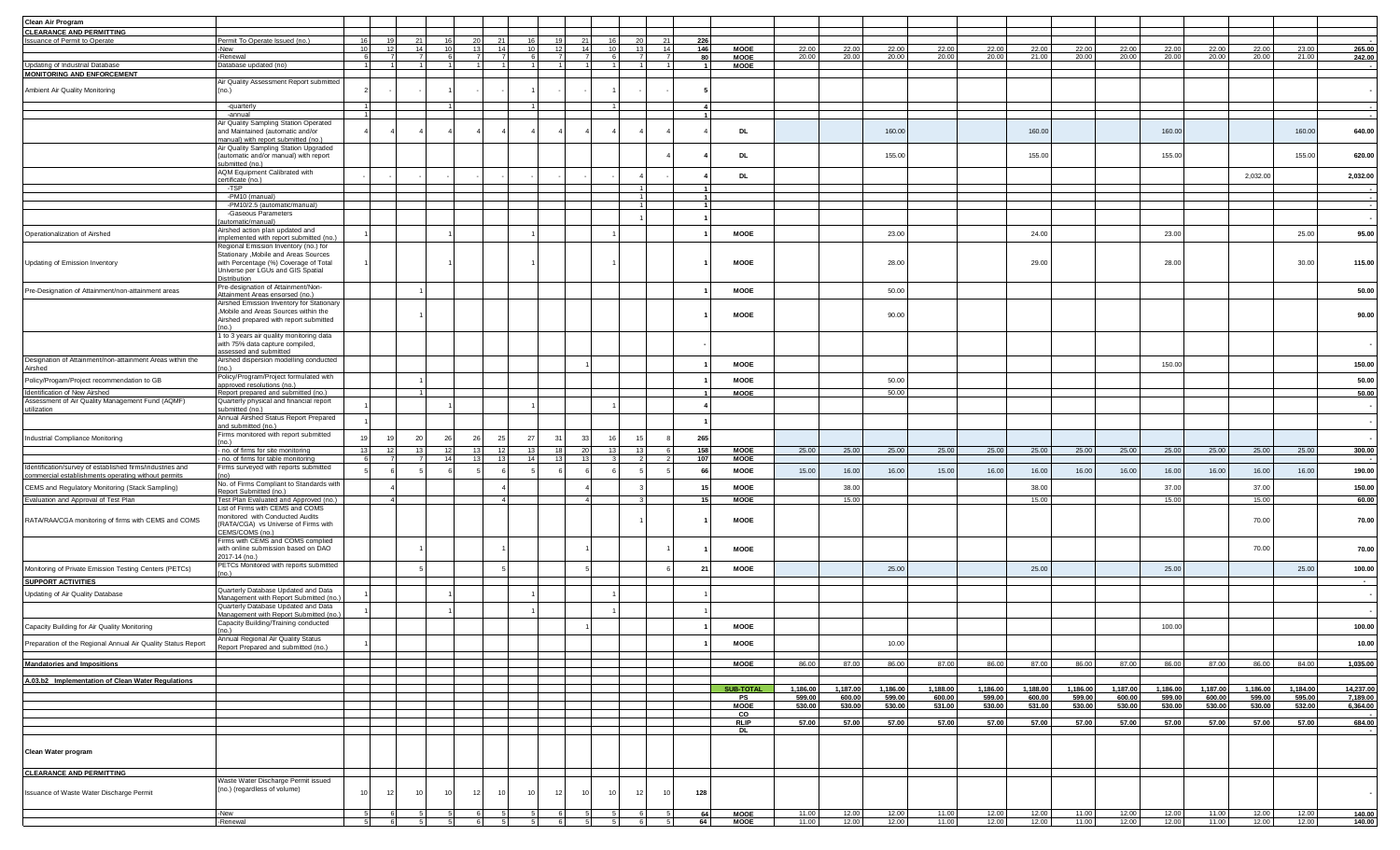| Clean Air Program                                                                                                |                                                                                |     |    |                 |                 |                       |                 |    |                 |                 |          |                 |              |                            |                  |                    |                    |                  |                  |                    |                  |                    |                  |                  |                  |                  |                       |
|------------------------------------------------------------------------------------------------------------------|--------------------------------------------------------------------------------|-----|----|-----------------|-----------------|-----------------------|-----------------|----|-----------------|-----------------|----------|-----------------|--------------|----------------------------|------------------|--------------------|--------------------|------------------|------------------|--------------------|------------------|--------------------|------------------|------------------|------------------|------------------|-----------------------|
| <b>CLEARANCE AND PERMITTING</b>                                                                                  |                                                                                |     |    |                 |                 |                       |                 |    |                 |                 |          |                 |              |                            |                  |                    |                    |                  |                  |                    |                  |                    |                  |                  |                  |                  |                       |
| <b>Issuance of Permit to Operate</b>                                                                             | Permit To Operate Issued (no.)                                                 | 16  |    |                 |                 |                       |                 |    |                 |                 |          | 21              | 226          |                            |                  |                    |                    |                  |                  |                    |                  |                    |                  |                  |                  |                  |                       |
|                                                                                                                  | New                                                                            | 10  |    | 14              | 10 <sup>1</sup> | 13 <sup>1</sup><br>14 | 10 <sup>1</sup> |    | 14              | 10 <sup>1</sup> |          | 14 <sup>1</sup> | 146          | <b>MOOE</b>                | 22.00            | 22.00              | 22.00              | 22.00            | 22.0             | 22.00              | 22.00            | 22.00              | 22.00            | 22.00            | 22.00            | 23.0             | 265.00                |
|                                                                                                                  | -Renewal                                                                       |     |    | $\overline{7}$  |                 |                       |                 |    |                 |                 |          | $\overline{7}$  | 80           | <b>MOOE</b>                | 20.00            | 20.00              | 20.00              | 20.00            | 20.00            | 21.00              | 20.00            | 20.00              | 20.00            | 20.00            | 20.00            | 21.00            | 242.00                |
| Updating of Industrial Database                                                                                  | Database updated (no)                                                          |     |    |                 |                 |                       |                 |    |                 |                 |          |                 |              | <b>MOOE</b>                |                  |                    |                    |                  |                  |                    |                  |                    |                  |                  |                  |                  |                       |
| <b>MONITORING AND ENFORCEMENT</b>                                                                                |                                                                                |     |    |                 |                 |                       |                 |    |                 |                 |          |                 |              |                            |                  |                    |                    |                  |                  |                    |                  |                    |                  |                  |                  |                  |                       |
| Ambient Air Quality Monitoring                                                                                   | Air Quality Assessment Report submitted<br>(no.                                |     |    |                 |                 |                       |                 |    |                 |                 |          |                 |              |                            |                  |                    |                    |                  |                  |                    |                  |                    |                  |                  |                  |                  |                       |
|                                                                                                                  |                                                                                |     |    |                 |                 |                       |                 |    |                 |                 |          |                 |              |                            |                  |                    |                    |                  |                  |                    |                  |                    |                  |                  |                  |                  |                       |
|                                                                                                                  | -quarterly                                                                     |     |    |                 |                 |                       |                 |    |                 |                 |          |                 | $\mathbf{A}$ |                            |                  |                    |                    |                  |                  |                    |                  |                    |                  |                  |                  |                  |                       |
|                                                                                                                  | -annual                                                                        |     |    |                 |                 |                       |                 |    |                 |                 |          |                 |              |                            |                  |                    |                    |                  |                  |                    |                  |                    |                  |                  |                  |                  |                       |
|                                                                                                                  | Air Quality Sampling Station Operated                                          |     |    |                 |                 |                       |                 |    |                 |                 |          |                 |              |                            |                  |                    |                    |                  |                  |                    |                  |                    |                  |                  |                  |                  |                       |
|                                                                                                                  | and Maintained (automatic and/or<br>nanual) with report submitted (no.)        |     |    |                 |                 |                       |                 |    |                 |                 |          |                 |              | <b>DL</b>                  |                  |                    | 160.00             |                  |                  | 160.00             |                  |                    | 160.00           |                  |                  | 160.00           | 640.00                |
|                                                                                                                  | Air Quality Sampling Station Upgraded                                          |     |    |                 |                 |                       |                 |    |                 |                 |          |                 |              |                            |                  |                    |                    |                  |                  |                    |                  |                    |                  |                  |                  |                  |                       |
|                                                                                                                  | (automatic and/or manual) with report                                          |     |    |                 |                 |                       |                 |    |                 |                 |          |                 |              | DL                         |                  |                    | 155.00             |                  |                  | 155.00             |                  |                    | 155.00           |                  |                  | 155.00           | 620.00                |
|                                                                                                                  | ubmitted (no.)                                                                 |     |    |                 |                 |                       |                 |    |                 |                 |          |                 |              |                            |                  |                    |                    |                  |                  |                    |                  |                    |                  |                  |                  |                  |                       |
|                                                                                                                  | AQM Equipment Calibrated with                                                  |     |    |                 |                 |                       |                 |    |                 |                 |          |                 |              | <b>DL</b>                  |                  |                    |                    |                  |                  |                    |                  |                    |                  |                  | 2,032.00         |                  | 2,032.00              |
|                                                                                                                  | certificate (no.)<br>-TSP                                                      |     |    |                 |                 |                       |                 |    |                 |                 |          |                 |              |                            |                  |                    |                    |                  |                  |                    |                  |                    |                  |                  |                  |                  |                       |
|                                                                                                                  | $-PM10$ (manual)                                                               |     |    |                 |                 |                       |                 |    |                 |                 |          |                 |              |                            |                  |                    |                    |                  |                  |                    |                  |                    |                  |                  |                  |                  |                       |
|                                                                                                                  | -PM10/2.5 (automatic/manual)                                                   |     |    |                 |                 |                       |                 |    |                 |                 |          |                 |              |                            |                  |                    |                    |                  |                  |                    |                  |                    |                  |                  |                  |                  |                       |
|                                                                                                                  | -Gaseous Parameters                                                            |     |    |                 |                 |                       |                 |    |                 |                 |          |                 |              |                            |                  |                    |                    |                  |                  |                    |                  |                    |                  |                  |                  |                  |                       |
|                                                                                                                  | utomatic/manual)                                                               |     |    |                 |                 |                       |                 |    |                 |                 |          |                 |              |                            |                  |                    |                    |                  |                  |                    |                  |                    |                  |                  |                  |                  |                       |
| Operationalization of Airshed                                                                                    | Airshed action plan updated and                                                |     |    |                 |                 |                       |                 |    |                 |                 |          |                 |              | <b>MOOE</b>                |                  |                    | 23.00              |                  |                  | 24.00              |                  |                    | 23.00            |                  |                  | 25.00            | 95.00                 |
|                                                                                                                  | nplemented with report submitted (no.)                                         |     |    |                 |                 |                       |                 |    |                 |                 |          |                 |              |                            |                  |                    |                    |                  |                  |                    |                  |                    |                  |                  |                  |                  |                       |
|                                                                                                                  | Regional Emission Inventory (no.) for<br>Stationary , Mobile and Areas Sources |     |    |                 |                 |                       |                 |    |                 |                 |          |                 |              |                            |                  |                    |                    |                  |                  |                    |                  |                    |                  |                  |                  |                  |                       |
| Updating of Emission Inventory                                                                                   | with Percentage (%) Coverage of Total                                          |     |    |                 |                 |                       |                 |    |                 |                 |          |                 |              | MOOE                       |                  |                    | 28.00              |                  |                  | 29.00              |                  |                    | 28.00            |                  |                  | 30.00            | 115.00                |
|                                                                                                                  | Universe per LGUs and GIS Spatial                                              |     |    |                 |                 |                       |                 |    |                 |                 |          |                 |              |                            |                  |                    |                    |                  |                  |                    |                  |                    |                  |                  |                  |                  |                       |
|                                                                                                                  | Distribution                                                                   |     |    |                 |                 |                       |                 |    |                 |                 |          |                 |              |                            |                  |                    |                    |                  |                  |                    |                  |                    |                  |                  |                  |                  |                       |
| Pre-Designation of Attainment/non-attainment areas                                                               | Pre-designation of Attainment/Non-                                             |     |    |                 |                 |                       |                 |    |                 |                 |          |                 |              | <b>MOOE</b>                |                  |                    | 50.00              |                  |                  |                    |                  |                    |                  |                  |                  |                  | 50.00                 |
|                                                                                                                  | Attainment Areas ensorsed (no.)<br>Airshed Emission Inventory for Stationary   |     |    |                 |                 |                       |                 |    |                 |                 |          |                 |              |                            |                  |                    |                    |                  |                  |                    |                  |                    |                  |                  |                  |                  |                       |
|                                                                                                                  | , Mobile and Areas Sources within the                                          |     |    |                 |                 |                       |                 |    |                 |                 |          |                 |              |                            |                  |                    |                    |                  |                  |                    |                  |                    |                  |                  |                  |                  |                       |
|                                                                                                                  | Airshed prepared with report submitted                                         |     |    |                 |                 |                       |                 |    |                 |                 |          |                 |              | <b>MOOE</b>                |                  |                    | 90.00              |                  |                  |                    |                  |                    |                  |                  |                  |                  | 90.00                 |
|                                                                                                                  |                                                                                |     |    |                 |                 |                       |                 |    |                 |                 |          |                 |              |                            |                  |                    |                    |                  |                  |                    |                  |                    |                  |                  |                  |                  |                       |
|                                                                                                                  | 1 to 3 years air quality monitoring data                                       |     |    |                 |                 |                       |                 |    |                 |                 |          |                 |              |                            |                  |                    |                    |                  |                  |                    |                  |                    |                  |                  |                  |                  |                       |
|                                                                                                                  | with 75% data capture compiled,                                                |     |    |                 |                 |                       |                 |    |                 |                 |          |                 |              |                            |                  |                    |                    |                  |                  |                    |                  |                    |                  |                  |                  |                  |                       |
| Designation of Attainment/non-attainment Areas within the                                                        | ssessed and submitted<br>Airshed dispersion modelling conducted                |     |    |                 |                 |                       |                 |    |                 |                 |          |                 |              |                            |                  |                    |                    |                  |                  |                    |                  |                    |                  |                  |                  |                  |                       |
| Airshed                                                                                                          | no.)                                                                           |     |    |                 |                 |                       |                 |    |                 |                 |          |                 |              | MOOE                       |                  |                    |                    |                  |                  |                    |                  |                    | 150.00           |                  |                  |                  | 150.00                |
|                                                                                                                  | Policy/Program/Project formulated with                                         |     |    |                 |                 |                       |                 |    |                 |                 |          |                 |              |                            |                  |                    |                    |                  |                  |                    |                  |                    |                  |                  |                  |                  |                       |
| Policy/Progam/Project recommendation to GB                                                                       | pproved resolutions (no.)                                                      |     |    |                 |                 |                       |                 |    |                 |                 |          |                 |              | <b>MOOE</b>                |                  |                    | 50.00              |                  |                  |                    |                  |                    |                  |                  |                  |                  | 50.00                 |
| Identification of New Airshed<br>Assessment of Air Quality Management Fund (AQMF)                                | Report prepared and submitted (no.)                                            |     |    |                 |                 |                       |                 |    |                 |                 |          |                 |              | <b>MOOE</b>                |                  |                    | 50.00              |                  |                  |                    |                  |                    |                  |                  |                  |                  | 50.00                 |
|                                                                                                                  | Quarterly physical and financial report                                        |     |    |                 |                 |                       |                 |    |                 |                 |          |                 |              |                            |                  |                    |                    |                  |                  |                    |                  |                    |                  |                  |                  |                  |                       |
| utilization                                                                                                      | ubmitted (no.)<br>Annual Airshed Status Report Prepared                        |     |    |                 |                 |                       |                 |    |                 |                 |          |                 |              |                            |                  |                    |                    |                  |                  |                    |                  |                    |                  |                  |                  |                  |                       |
|                                                                                                                  | and submitted (no.)                                                            |     |    |                 |                 |                       |                 |    |                 |                 |          |                 |              |                            |                  |                    |                    |                  |                  |                    |                  |                    |                  |                  |                  |                  |                       |
|                                                                                                                  | Firms monitored with report submitted                                          | 19  |    | 20              | 26<br>26        |                       | 27              | 31 | 33              | 16              |          |                 | 265          |                            |                  |                    |                    |                  |                  |                    |                  |                    |                  |                  |                  |                  |                       |
| Industrial Compliance Monitoring                                                                                 |                                                                                |     |    |                 |                 | 25                    |                 |    |                 |                 |          |                 |              |                            |                  |                    |                    |                  |                  |                    |                  |                    |                  |                  |                  |                  |                       |
|                                                                                                                  | - no. of firms for site monitoring                                             | 13  | 12 | 13              | 12              | 13<br>12              | 13 <sup>1</sup> | 18 | 20 <sub>1</sub> |                 | 13<br>13 | - 6             | 158          | <b>MOOE</b>                | 25.00            | 25.00              | 25.00              | 25.00            | 25.00            | 25.00              | 25.00            | 25.00              | 25.00            | 25.00            | 25.00            | 25.00            | 300.00                |
|                                                                                                                  | - no. of firms for table monitoring                                            |     |    | $\overline{7}$  | 14              | 13<br>13              | 14              | 13 | 13              |                 |          | $\overline{2}$  | 107          | <b>MOOE</b>                |                  |                    |                    |                  |                  |                    |                  |                    |                  |                  |                  |                  |                       |
| Identification/survey of established firms/industries and<br>commercial establishments operating without permits | Firms surveyed with reports submitted                                          |     |    |                 |                 |                       |                 |    |                 |                 |          |                 | 66           | <b>MOOE</b>                | 15.00            | 16.00              | 16.00              | 15.00            | 16.00            | 16.00              | 16.00            | 16.00              | 16.00            | 16.00            | 16.00            | 16.00            | 190.00                |
|                                                                                                                  | No. of Firms Compliant to Standards with                                       |     |    |                 |                 |                       |                 |    |                 |                 |          |                 |              |                            |                  |                    |                    |                  |                  |                    |                  |                    |                  |                  |                  |                  |                       |
| CEMS and Regulatory Monitoring (Stack Sampling)                                                                  | Report Submitted (no.)                                                         |     |    |                 |                 |                       |                 |    |                 |                 |          |                 | 15           | <b>MOOE</b>                |                  | 38.00              |                    |                  |                  | 38.00              |                  |                    | 37.00            |                  | 37.00            |                  | 150.00                |
| Evaluation and Approval of Test Plan                                                                             | Test Plan Evaluated and Approved (no.)                                         |     |    |                 |                 |                       |                 |    | $\Lambda$       |                 |          |                 | 15           | <b>MOOE</b>                |                  | 15.00              |                    |                  |                  | 15.00              |                  |                    | 15.00            |                  | 15.00            |                  | 60.00                 |
|                                                                                                                  | List of Firms with CEMS and COMS                                               |     |    |                 |                 |                       |                 |    |                 |                 |          |                 |              |                            |                  |                    |                    |                  |                  |                    |                  |                    |                  |                  |                  |                  |                       |
| RATA/RAA/CGA monitoring of firms with CEMS and COMS                                                              | monitored with Conducted Audits<br>(RATA/CGA) vs Universe of Firms with        |     |    |                 |                 |                       |                 |    |                 |                 |          |                 |              | MOOE                       |                  |                    |                    |                  |                  |                    |                  |                    |                  |                  | 70.00            |                  | 70.00                 |
|                                                                                                                  | CEMS/COMS (no.)                                                                |     |    |                 |                 |                       |                 |    |                 |                 |          |                 |              |                            |                  |                    |                    |                  |                  |                    |                  |                    |                  |                  |                  |                  |                       |
|                                                                                                                  | Firms with CEMS and COMS complied                                              |     |    |                 |                 |                       |                 |    |                 |                 |          |                 |              |                            |                  |                    |                    |                  |                  |                    |                  |                    |                  |                  |                  |                  |                       |
|                                                                                                                  | with online submission based on DAO                                            |     |    |                 |                 |                       |                 |    |                 |                 |          |                 |              | MOOE                       |                  |                    |                    |                  |                  |                    |                  |                    |                  |                  | 70.00            |                  | 70.00                 |
|                                                                                                                  | 2017-14 (no.)                                                                  |     |    |                 |                 |                       |                 |    |                 |                 |          |                 |              |                            |                  |                    |                    |                  |                  |                    |                  |                    |                  |                  |                  |                  |                       |
| Monitoring of Private Emission Testing Centers (PETCs)                                                           | PETCs Monitored with reports submitted                                         |     |    |                 |                 |                       |                 |    |                 |                 |          |                 | 21           | <b>MOOE</b>                |                  |                    | 25.00              |                  |                  | 25.00              |                  |                    | 25.00            |                  |                  | 25.00            | 100.00                |
|                                                                                                                  |                                                                                |     |    |                 |                 |                       |                 |    |                 |                 |          |                 |              |                            |                  |                    |                    |                  |                  |                    |                  |                    |                  |                  |                  |                  |                       |
| <b>SUPPORT ACTIVITIES</b>                                                                                        | Quarterly Database Updated and Data                                            |     |    |                 |                 |                       |                 |    |                 |                 |          |                 |              |                            |                  |                    |                    |                  |                  |                    |                  |                    |                  |                  |                  |                  |                       |
| Updating of Air Quality Database                                                                                 | Management with Report Submitted (no                                           |     |    |                 |                 |                       |                 |    |                 |                 |          |                 |              |                            |                  |                    |                    |                  |                  |                    |                  |                    |                  |                  |                  |                  |                       |
|                                                                                                                  | Quarterly Database Updated and Data                                            |     |    |                 |                 |                       |                 |    |                 |                 |          |                 |              |                            |                  |                    |                    |                  |                  |                    |                  |                    |                  |                  |                  |                  |                       |
|                                                                                                                  | Management with Report Submitted (no.                                          |     |    |                 |                 |                       |                 |    |                 |                 |          |                 |              |                            |                  |                    |                    |                  |                  |                    |                  |                    |                  |                  |                  |                  |                       |
| Capacity Building for Air Quality Monitoring                                                                     | Capacity Building/Training conducted                                           |     |    |                 |                 |                       |                 |    |                 |                 |          |                 |              | <b>MOOE</b>                |                  |                    |                    |                  |                  |                    |                  |                    | 100.00           |                  |                  |                  | 100.00                |
|                                                                                                                  | no.)<br>nnual Regional Air Quality Status                                      |     |    |                 |                 |                       |                 |    |                 |                 |          |                 |              |                            |                  |                    |                    |                  |                  |                    |                  |                    |                  |                  |                  |                  |                       |
| Preparation of the Regional Annual Air Quality Status Report                                                     | Report Prepared and submitted (no.)                                            |     |    |                 |                 |                       |                 |    |                 |                 |          |                 |              | <b>MOOE</b>                |                  |                    | 10.00              |                  |                  |                    |                  |                    |                  |                  |                  |                  | 10.00                 |
|                                                                                                                  |                                                                                |     |    |                 |                 |                       |                 |    |                 |                 |          |                 |              |                            |                  |                    |                    |                  |                  |                    |                  |                    |                  |                  |                  |                  |                       |
| <b>Mandatories and Impositions</b>                                                                               |                                                                                |     |    |                 |                 |                       |                 |    |                 |                 |          |                 |              | <b>MOOE</b>                | 86.00            | 87.00              | 86.00              | 87.00            | 86.00            | 87.00              | 86.00            | 87.00              | 86.00            | 87.00            | 86.00            | 84.00            | 1,035.00              |
|                                                                                                                  |                                                                                |     |    |                 |                 |                       |                 |    |                 |                 |          |                 |              |                            |                  |                    |                    |                  |                  |                    |                  |                    |                  |                  |                  |                  |                       |
| A.03.b2 Implementation of Clean Water Regulations                                                                |                                                                                |     |    |                 |                 |                       |                 |    |                 |                 |          |                 |              |                            |                  |                    |                    |                  |                  |                    |                  |                    |                  |                  |                  |                  |                       |
|                                                                                                                  |                                                                                |     |    |                 |                 |                       |                 |    |                 |                 |          |                 |              | <b>SUB-TOTAL</b>           | 1,186.00         | 1,187.00<br>600.00 | 1,186.00<br>599.00 | 1,188.00         | 1,186.00         | 1,188.00<br>600.00 | 1,186.00         | 1,187.00<br>600.00 | 1,186.00         | 1,187.00         | 1,186.00         | 1,184.00         | 14,237.00<br>7,189.00 |
|                                                                                                                  |                                                                                |     |    |                 |                 |                       |                 |    |                 |                 |          |                 |              | PS<br><b>MOOE</b>          | 599.00<br>530.00 | 530.00             | 530.00             | 600.00<br>531.00 | 599.00<br>530.00 | 531.00             | 599.00<br>530.00 | 530.00             | 599.00<br>530.00 | 600.00<br>530.00 | 599.00<br>530.00 | 595.00<br>532.00 | 6,364.00              |
|                                                                                                                  |                                                                                |     |    |                 |                 |                       |                 |    |                 |                 |          |                 |              | CO                         |                  |                    |                    |                  |                  |                    |                  |                    |                  |                  |                  |                  |                       |
|                                                                                                                  |                                                                                |     |    |                 |                 |                       |                 |    |                 |                 |          |                 |              | <b>RLIP</b>                | 57.00            | 57.00              | 57.00              | 57.00            | 57.00            | 57.00              | 57.00            | 57.00              | 57.00            | 57.00            | 57.00            | 57.00            | 684.00                |
|                                                                                                                  |                                                                                |     |    |                 |                 |                       |                 |    |                 |                 |          |                 |              | DL                         |                  |                    |                    |                  |                  |                    |                  |                    |                  |                  |                  |                  |                       |
|                                                                                                                  |                                                                                |     |    |                 |                 |                       |                 |    |                 |                 |          |                 |              |                            |                  |                    |                    |                  |                  |                    |                  |                    |                  |                  |                  |                  |                       |
| Clean Water program                                                                                              |                                                                                |     |    |                 |                 |                       |                 |    |                 |                 |          |                 |              |                            |                  |                    |                    |                  |                  |                    |                  |                    |                  |                  |                  |                  |                       |
|                                                                                                                  |                                                                                |     |    |                 |                 |                       |                 |    |                 |                 |          |                 |              |                            |                  |                    |                    |                  |                  |                    |                  |                    |                  |                  |                  |                  |                       |
| <b>CLEARANCE AND PERMITTING</b>                                                                                  |                                                                                |     |    |                 |                 |                       |                 |    |                 |                 |          |                 |              |                            |                  |                    |                    |                  |                  |                    |                  |                    |                  |                  |                  |                  |                       |
|                                                                                                                  | Waste Water Discharge Permit issued                                            |     |    |                 |                 |                       |                 |    |                 |                 |          |                 |              |                            |                  |                    |                    |                  |                  |                    |                  |                    |                  |                  |                  |                  |                       |
|                                                                                                                  | (no.) (regardless of volume)                                                   | 10  | 12 | 10 <sup>1</sup> | 10              | 10                    | 10              | 12 |                 |                 |          | 10 <sup>1</sup> | 128          |                            |                  |                    |                    |                  |                  |                    |                  |                    |                  |                  |                  |                  |                       |
| Issuance of Waste Water Discharge Permit                                                                         |                                                                                |     |    |                 | 12              |                       |                 |    | 10              | 10 <sup>1</sup> | 12       |                 |              |                            |                  |                    |                    |                  |                  |                    |                  |                    |                  |                  |                  |                  |                       |
|                                                                                                                  |                                                                                |     |    |                 |                 |                       |                 |    |                 |                 |          |                 |              |                            |                  |                    |                    |                  |                  |                    |                  |                    |                  |                  |                  |                  |                       |
|                                                                                                                  | -New<br>-Renewal                                                               | -51 |    |                 |                 | -61                   |                 | 6  | - 5             |                 |          | -51             | 64<br>64     | <b>MOOE</b><br><b>MOOE</b> | 11.00<br>11.00   | 12.00<br>12.00     | 12.00<br>12.00     | 11.00<br>11.00   | 12.00<br>12.00   | 12.00<br>12.00     | 11.00<br>11.00   | 12.00<br>12.00     | 12.00<br>12.00   | 11.00<br>11.00   | 12.00<br>12.00   | 12.00<br>12.00   | 140.00<br>140.00      |
|                                                                                                                  |                                                                                |     |    |                 |                 |                       |                 |    |                 |                 | - 51     |                 |              |                            |                  |                    |                    |                  |                  |                    |                  |                    |                  |                  |                  |                  |                       |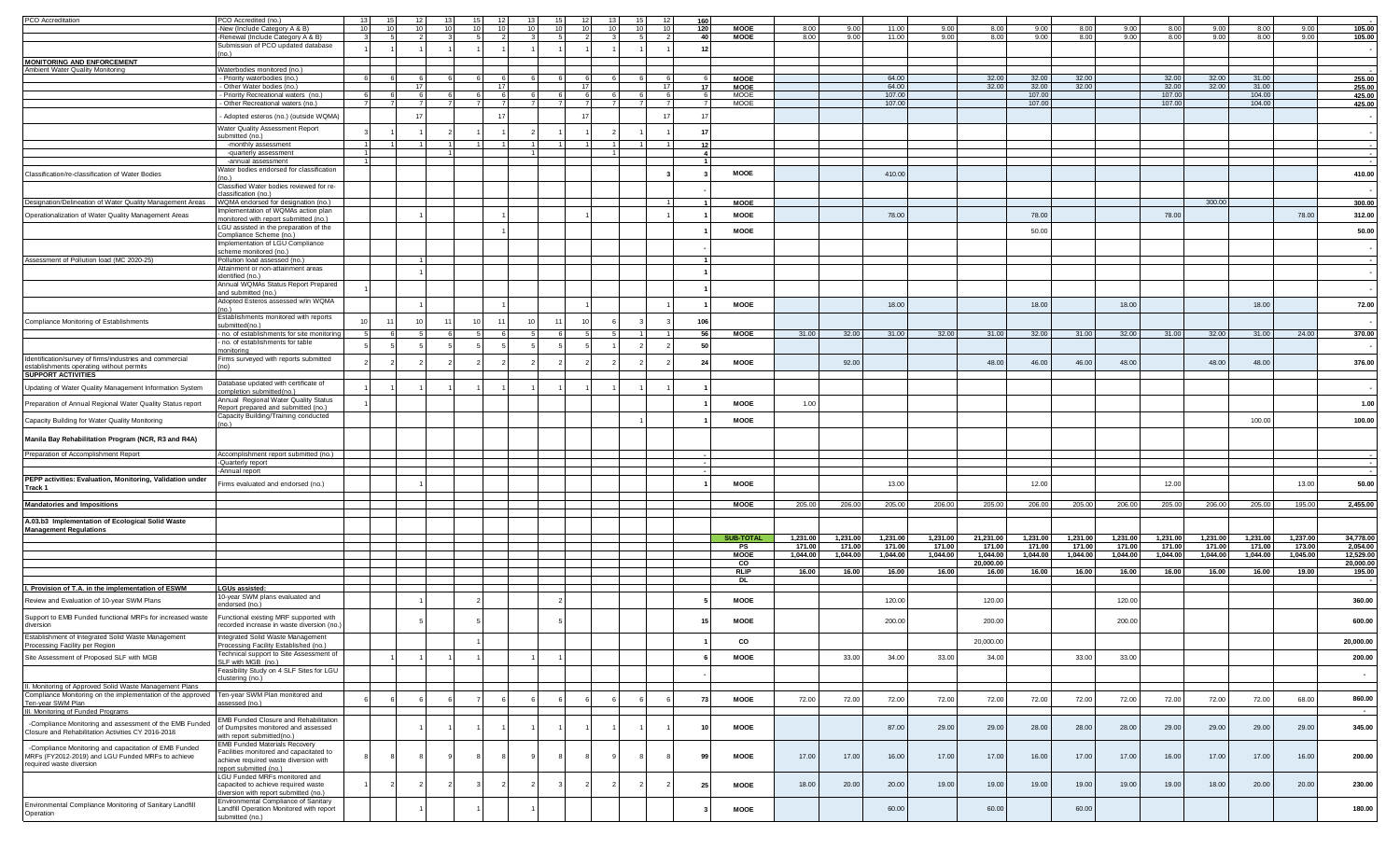| PCO Accreditation                                                                           | PCO Accredited (no.                                                          |      |     |     |      |                 |                |     |     |                |    |     |                 |          |          |          |          |           |          |          |          |          |          |          |          |           |
|---------------------------------------------------------------------------------------------|------------------------------------------------------------------------------|------|-----|-----|------|-----------------|----------------|-----|-----|----------------|----|-----|-----------------|----------|----------|----------|----------|-----------|----------|----------|----------|----------|----------|----------|----------|-----------|
|                                                                                             | -New (Include Category A & B)                                                |      |     |     |      |                 |                |     |     |                |    | 120 | <b>MOOE</b>     | 8.00     | ∩∩ o     | 11.0     |          | 8.00      | 9.00     | 8.00     |          | 8.00     |          | 8.00     | 9 O      | 105.00    |
|                                                                                             | -Renewal (Include Category A & B)                                            |      |     |     |      |                 |                |     |     |                |    | 40  | <b>MOOE</b>     | 8.00     | 9.00     | 11.00    | 9.00     | 8.00      | 9.00     | 8.00     | 9.00     | 8.00     | 9.00     | 8.00     | 9.00     | 105.00    |
|                                                                                             | Submission of PCO updated database                                           |      |     |     |      |                 |                |     |     |                |    | 12  |                 |          |          |          |          |           |          |          |          |          |          |          |          |           |
|                                                                                             |                                                                              |      |     |     |      |                 |                |     |     |                |    |     |                 |          |          |          |          |           |          |          |          |          |          |          |          |           |
| <b>MONITORING AND ENFORCEMENT</b><br>Ambient Water Quality Monitoring                       | Waterbodies monitored (no.                                                   |      |     |     |      |                 |                |     |     |                |    |     |                 |          |          |          |          |           |          |          |          |          |          |          |          |           |
|                                                                                             | - Priority waterbodies (no.)                                                 |      |     |     |      |                 |                |     |     |                |    |     | <b>MOOE</b>     |          |          | 64.00    |          | 32.00     | 32 N     | 32.00    |          | 32.00    |          | 31.00    |          | 255.00    |
|                                                                                             | - Other Water bodies (no.)                                                   |      | 17  |     |      | 17 <sup>1</sup> |                |     |     |                | 17 | 17  | <b>MOOE</b>     |          |          | 64.00    |          | 32.00     | 32.00    | 32.00    |          | 32.00    | 32.00    | 31.00    |          | 255.00    |
|                                                                                             | - Priority Recreational waters (no.)                                         |      |     |     |      | $\epsilon$      |                |     |     |                |    |     | <b>MOOE</b>     |          |          | 107.00   |          |           | 107.00   |          |          | 107.00   |          | 104.00   |          | 425.00    |
|                                                                                             | - Other Recreational waters (no.)                                            |      |     |     |      |                 |                |     |     |                |    |     | <b>MOOE</b>     |          |          | 107.00   |          |           | 107.00   |          |          | 107.00   |          | 104.00   |          | 425.00    |
|                                                                                             | Adopted esteros (no.) (outside WQMA)                                         |      |     |     |      |                 |                |     |     |                | 17 |     |                 |          |          |          |          |           |          |          |          |          |          |          |          |           |
|                                                                                             | Water Quality Assessment Report                                              |      |     |     |      |                 |                |     |     |                |    |     |                 |          |          |          |          |           |          |          |          |          |          |          |          |           |
|                                                                                             | ubmitted (no.)                                                               |      |     |     |      |                 |                |     |     |                |    |     |                 |          |          |          |          |           |          |          |          |          |          |          |          |           |
|                                                                                             | -monthly assessment                                                          |      |     |     |      |                 |                |     |     |                |    | 12  |                 |          |          |          |          |           |          |          |          |          |          |          |          |           |
|                                                                                             | -quarterly assessment                                                        |      |     |     |      |                 |                |     |     |                |    |     |                 |          |          |          |          |           |          |          |          |          |          |          |          |           |
|                                                                                             | -annual assessment<br>Water bodies endorsed for classification               |      |     |     |      |                 |                |     |     |                |    |     |                 |          |          |          |          |           |          |          |          |          |          |          |          |           |
| Classification/re-classification of Water Bodies                                            | (no.)                                                                        |      |     |     |      |                 |                |     |     |                |    |     | <b>MOOE</b>     |          |          | 410.00   |          |           |          |          |          |          |          |          |          | 410.00    |
|                                                                                             | Classified Water bodies reviewed for re-                                     |      |     |     |      |                 |                |     |     |                |    |     |                 |          |          |          |          |           |          |          |          |          |          |          |          |           |
|                                                                                             | classification (no.)                                                         |      |     |     |      |                 |                |     |     |                |    |     |                 |          |          |          |          |           |          |          |          |          |          |          |          |           |
| Designation/Delineation of Water Quality Management Areas                                   | WQMA endorsed for designation (no.)                                          |      |     |     |      |                 |                |     |     |                |    |     | <b>MOOE</b>     |          |          |          |          |           |          |          |          |          | 300.00   |          |          | 300.00    |
| Operationalization of Water Quality Management Areas                                        | Implementation of WQMAs action plan<br>monitored with report submitted (no.) |      |     |     |      |                 |                |     |     |                |    |     | MOOE            |          |          | 78.00    |          |           | 78.00    |          |          | 78.00    |          |          | 78.00    | 312.00    |
|                                                                                             | LGU assisted in the preparation of the                                       |      |     |     |      |                 |                |     |     |                |    |     |                 |          |          |          |          |           |          |          |          |          |          |          |          |           |
|                                                                                             | Compliance Scheme (no.)                                                      |      |     |     |      |                 |                |     |     |                |    |     | MOOE            |          |          |          |          |           | 50.00    |          |          |          |          |          |          | 50.00     |
|                                                                                             | Implementation of LGU Compliance                                             |      |     |     |      |                 |                |     |     |                |    |     |                 |          |          |          |          |           |          |          |          |          |          |          |          |           |
| Assessment of Pollution load (MC 2020-25)                                                   | scheme monitored (no.)<br>Pollution load assessed (no.)                      |      |     |     |      |                 |                |     |     |                |    |     |                 |          |          |          |          |           |          |          |          |          |          |          |          |           |
|                                                                                             | Attainment or non-attainment areas                                           |      |     |     |      |                 |                |     |     |                |    |     |                 |          |          |          |          |           |          |          |          |          |          |          |          |           |
|                                                                                             | dentified (no.)                                                              |      |     |     |      |                 |                |     |     |                |    |     |                 |          |          |          |          |           |          |          |          |          |          |          |          |           |
|                                                                                             | Annual WQMAs Status Report Prepared                                          |      |     |     |      |                 |                |     |     |                |    |     |                 |          |          |          |          |           |          |          |          |          |          |          |          |           |
|                                                                                             | and submitted (no.)                                                          |      |     |     |      |                 |                |     |     |                |    |     |                 |          |          |          |          |           |          |          |          |          |          |          |          |           |
|                                                                                             | Adopted Esteros assessed w/in WQMA                                           |      |     |     |      |                 |                |     |     |                |    |     | <b>MOOE</b>     |          |          | 18.00    |          |           | 18.00    |          | 18.00    |          |          | 18.00    |          | 72.00     |
|                                                                                             | Establishments monitored with reports                                        |      |     |     |      |                 |                |     |     |                |    |     |                 |          |          |          |          |           |          |          |          |          |          |          |          |           |
| Compliance Monitoring of Establishments                                                     | submitted(no.)                                                               |      |     |     |      |                 |                |     |     |                |    | 106 |                 |          |          |          |          |           |          |          |          |          |          |          |          |           |
|                                                                                             | - no. of establishments for site monitoring                                  | - 61 | -51 | -61 | $-5$ | 6               | 5 <sub>1</sub> | - 6 | -51 | 5 <sub>1</sub> |    | 56  | <b>MOOE</b>     | 31.00    | 32.00    | 31.00    | 32.00    | 31.00     | 32.00    | 31.00    | 32.00    | 31.00    | 32.00    | 31.00    | 24.00    | 370.00    |
|                                                                                             | - no. of establishments for table<br>onitorin                                |      |     |     |      |                 |                |     |     |                |    |     |                 |          |          |          |          |           |          |          |          |          |          |          |          |           |
| Identification/survey of firms/industries and commercial                                    | Firms surveyed with reports submitted                                        |      |     |     |      |                 |                |     |     |                |    |     |                 |          |          |          |          |           |          |          |          |          |          |          |          |           |
| establishments operating without permits                                                    |                                                                              |      |     |     |      |                 |                |     |     |                |    | 24  | <b>MOOE</b>     |          | 92.00    |          |          | 48.00     | 46.00    | 46.00    | 48.00    |          | 48.00    | 48.00    |          | 376.00    |
| <b>SUPPORT ACTIVITIES</b>                                                                   |                                                                              |      |     |     |      |                 |                |     |     |                |    |     |                 |          |          |          |          |           |          |          |          |          |          |          |          |           |
| Updating of Water Quality Management Information System                                     | Database updated with certificate of                                         |      |     |     |      |                 |                |     |     |                |    |     |                 |          |          |          |          |           |          |          |          |          |          |          |          |           |
|                                                                                             | ompletion submitted(no.                                                      |      |     |     |      |                 |                |     |     |                |    |     |                 |          |          |          |          |           |          |          |          |          |          |          |          |           |
| Preparation of Annual Regional Water Quality Status report                                  | Annual Regional Water Quality Status<br>Report prepared and submitted (no.)  |      |     |     |      |                 |                |     |     |                |    |     | MOOE            | 1.00     |          |          |          |           |          |          |          |          |          |          |          | 1.00      |
|                                                                                             | Capacity Building/Training conducted                                         |      |     |     |      |                 |                |     |     |                |    |     | <b>MOOE</b>     |          |          |          |          |           |          |          |          |          |          | 100.00   |          | 100.00    |
| Capacity Building for Water Quality Monitoring                                              | (no.)                                                                        |      |     |     |      |                 |                |     |     |                |    |     |                 |          |          |          |          |           |          |          |          |          |          |          |          |           |
|                                                                                             |                                                                              |      |     |     |      |                 |                |     |     |                |    |     |                 |          |          |          |          |           |          |          |          |          |          |          |          |           |
| Manila Bay Rehabilitation Program (NCR, R3 and R4A)                                         |                                                                              |      |     |     |      |                 |                |     |     |                |    |     |                 |          |          |          |          |           |          |          |          |          |          |          |          |           |
| Preparation of Accomplishment Report                                                        | Accomplishment report submitted (no.)                                        |      |     |     |      |                 |                |     |     |                |    |     |                 |          |          |          |          |           |          |          |          |          |          |          |          |           |
|                                                                                             | -Quarterly report                                                            |      |     |     |      |                 |                |     |     |                |    |     |                 |          |          |          |          |           |          |          |          |          |          |          |          |           |
|                                                                                             | -Annual report                                                               |      |     |     |      |                 |                |     |     |                |    |     |                 |          |          |          |          |           |          |          |          |          |          |          |          |           |
| PEPP activities: Evaluation, Monitoring, Validation under<br>Track 1                        | Firms evaluated and endorsed (no.)                                           |      |     |     |      |                 |                |     |     |                |    |     | <b>MOOE</b>     |          |          | 13.00    |          |           | 12.00    |          |          | 12.00    |          |          | 13.0     | 50.00     |
|                                                                                             |                                                                              |      |     |     |      |                 |                |     |     |                |    |     |                 |          |          |          |          |           |          |          |          |          |          |          |          |           |
| <b>Mandatories and Impositions</b>                                                          |                                                                              |      |     |     |      |                 |                |     |     |                |    |     | <b>MOOE</b>     | 205.00   | 206.00   | 205.00   | 206.00   | 205.00    | 206.00   | 205.00   | 206.00   | 205.00   | 206.00   | 205.00   | 195.00   | 2,455.00  |
|                                                                                             |                                                                              |      |     |     |      |                 |                |     |     |                |    |     |                 |          |          |          |          |           |          |          |          |          |          |          |          |           |
| A.03.b3 Implementation of Ecological Solid Waste                                            |                                                                              |      |     |     |      |                 |                |     |     |                |    |     |                 |          |          |          |          |           |          |          |          |          |          |          |          |           |
| <b>Management Regulations</b>                                                               |                                                                              |      |     |     |      |                 |                |     |     |                |    |     | <b>SUB-TOTA</b> | 1,231.00 | 1,231.00 | 1,231.00 | 1,231.00 | 21,231.00 | 1,231.00 | 1,231.00 | 1,231.00 | 1,231.00 | 1,231.00 | 1,231.00 | 1,237.00 | 34,778.00 |
|                                                                                             |                                                                              |      |     |     |      |                 |                |     |     |                |    |     | PS              | 171.00   | 171.00   | 171.00   | 171.00   | 171.00    | 171.00   | 171.00   | 171.00   | 171.00   | 171.00   | 171.00   | 173.00   | 2,054.00  |
|                                                                                             |                                                                              |      |     |     |      |                 |                |     |     |                |    |     | <b>MOOE</b>     | 1,044.00 | 1,044.00 | 1,044.00 | 1,044.00 | 1,044.00  | 1,044.00 | 1,044.00 | 1,044.00 | 1,044.00 | 1,044.00 | 1,044.00 | 1,045.00 | 12,529.00 |
|                                                                                             |                                                                              |      |     |     |      |                 |                |     |     |                |    |     | $_{\rm CO}$     |          |          |          |          | 20,000.00 |          |          |          |          |          |          |          | 20,000.00 |
|                                                                                             |                                                                              |      |     |     |      |                 |                |     |     |                |    |     | <b>RLIP</b>     | 16.00    | 16.00    | 16.00    | 16.00    | 16.00     | 16.00    | 16.00    | 16.00    | 16.00    | 16.00    | 16.00    | 19.00    | 195.00    |
| I. Provision of T.A. in the implementation of ESWM                                          | <b>LGUs assisted</b>                                                         |      |     |     |      |                 |                |     |     |                |    |     | DL              |          |          |          |          |           |          |          |          |          |          |          |          |           |
|                                                                                             | 10-year SWM plans evaluated and                                              |      |     |     |      |                 |                |     |     |                |    |     |                 |          |          |          |          |           |          |          |          |          |          |          |          |           |
| Review and Evaluation of 10-year SWM Plans                                                  | endorsed (no.)                                                               |      |     |     |      |                 |                |     |     |                |    |     | MOOE            |          |          | 120.00   |          | 120.00    |          |          | 120.00   |          |          |          |          | 360.00    |
| Support to EMB Funded functional MRFs for increased waste                                   | Functional existing MRF supported with                                       |      |     |     |      |                 |                |     |     |                |    |     |                 |          |          |          |          |           |          |          |          |          |          |          |          |           |
| diversion                                                                                   | recorded increase in waste diversion (no.                                    |      |     |     |      |                 |                |     |     |                |    |     | MOOE            |          |          | 200.00   |          | 200.00    |          |          | 200.00   |          |          |          |          | 600.00    |
| Establishment of Integrated Solid Waste Management                                          | egrated Solid Waste Management                                               |      |     |     |      |                 |                |     |     |                |    |     |                 |          |          |          |          |           |          |          |          |          |          |          |          |           |
| Processing Facility per Region                                                              | Processing Facility Established (no.)                                        |      |     |     |      |                 |                |     |     |                |    |     | CO              |          |          |          |          | 20,000.00 |          |          |          |          |          |          |          | 20,000.00 |
| Site Assessment of Proposed SLF with MGB                                                    | Technical support to Site Assessment of                                      |      |     |     |      |                 |                |     |     |                |    |     | <b>MOOE</b>     |          | 33.00    | 34.00    | 33.00    | 34.00     |          | 33.00    | 33.00    |          |          |          |          | 200.00    |
|                                                                                             | SLF with MGB (no.)                                                           |      |     |     |      |                 |                |     |     |                |    |     |                 |          |          |          |          |           |          |          |          |          |          |          |          |           |
|                                                                                             | Feasibility Study on 4 SLF Sites for LGU<br>clustering (no.)                 |      |     |     |      |                 |                |     |     |                |    |     |                 |          |          |          |          |           |          |          |          |          |          |          |          | $\sim$    |
| II. Monitoring of Approved Solid Waste Management Plans                                     |                                                                              |      |     |     |      |                 |                |     |     |                |    |     |                 |          |          |          |          |           |          |          |          |          |          |          |          |           |
| Compliance Monitoring on the implementation of the approved Ten-year SWM Plan monitored and |                                                                              |      |     |     |      |                 |                |     |     |                |    | 73  | <b>MOOE</b>     | 72.00    | 72.00    | 72.00    | 72.00    | 72.00     | 72.00    | 72.00    | 72.00    | 72.00    | 72.00    | 72.00    | 68.00    | 860.00    |
| Ten-year SWM Plan                                                                           | assessed (no.)                                                               |      |     |     |      |                 |                |     |     |                |    |     |                 |          |          |          |          |           |          |          |          |          |          |          |          |           |
| III. Monitoring of Funded Programs                                                          | <b>EMB Funded Closure and Rehabilitation</b>                                 |      |     |     |      |                 |                |     |     |                |    |     |                 |          |          |          |          |           |          |          |          |          |          |          |          | $\sim$    |
| -Compliance Monitoring and assessment of the EMB Funded                                     | of Dumpsites monitored and assessed                                          |      |     |     |      |                 |                |     |     |                |    | 10  | <b>MOOE</b>     |          |          | 87.00    | 29.00    | 29.00     | 28.00    | 28.00    | 28.00    | 29.00    | 29.00    | 29.00    | 29.00    | 345.00    |
| Closure and Rehabilitation Activities CY 2016-2018                                          | with report submitted(no.)                                                   |      |     |     |      |                 |                |     |     |                |    |     |                 |          |          |          |          |           |          |          |          |          |          |          |          |           |
| -Compliance Monitoring and capacitation of EMB Funded                                       | <b>EMB Funded Materials Recovery</b>                                         |      |     |     |      |                 |                |     |     |                |    |     |                 |          |          |          |          |           |          |          |          |          |          |          |          |           |
| MRFs (FY2012-2019) and LGU Funded MRFs to achieve                                           | Facilities monitored and capacitated to                                      |      |     |     |      |                 |                |     |     |                |    | 99  | <b>MOOE</b>     | 17.00    | 17.00    | 16.00    | 17.00    | 17.00     | 16.00    | 17.00    | 17.00    | 16.00    | 17.00    | 17.00    | 16.00    | 200.00    |
| required waste diversion                                                                    | achieve required waste diversion with                                        |      |     |     |      |                 |                |     |     |                |    |     |                 |          |          |          |          |           |          |          |          |          |          |          |          |           |
|                                                                                             | report submitted (no.)<br>LGU Funded MRFs monitored and                      |      |     |     |      |                 |                |     |     |                |    |     |                 |          |          |          |          |           |          |          |          |          |          |          |          |           |
|                                                                                             | capacited to achieve required waste                                          |      |     |     |      |                 |                |     |     |                |    | 25  | <b>MOOE</b>     | 18.00    | 20.00    | 20.00    | 19.00    | 19.00     | 19.00    | 19.00    | 19.00    | 19.00    | 18.00    | 20.00    | 20.00    | 230.00    |
|                                                                                             | diversion with report submitted (no.)                                        |      |     |     |      |                 |                |     |     |                |    |     |                 |          |          |          |          |           |          |          |          |          |          |          |          |           |
| Environmental Compliance Monitoring of Sanitary Landfill                                    | Environmental Compliance of Sanitary                                         |      |     |     |      |                 |                |     |     |                |    |     |                 |          |          |          |          |           |          |          |          |          |          |          |          |           |
| Operation                                                                                   | Landfill Operation Monitored with report<br>submitted (no.)                  |      |     |     |      |                 |                |     |     |                |    |     | <b>MOOE</b>     |          |          | 60.00    |          | 60.00     |          | 60.00    |          |          |          |          |          | 180.00    |
|                                                                                             |                                                                              |      |     |     |      |                 |                |     |     |                |    |     |                 |          |          |          |          |           |          |          |          |          |          |          |          |           |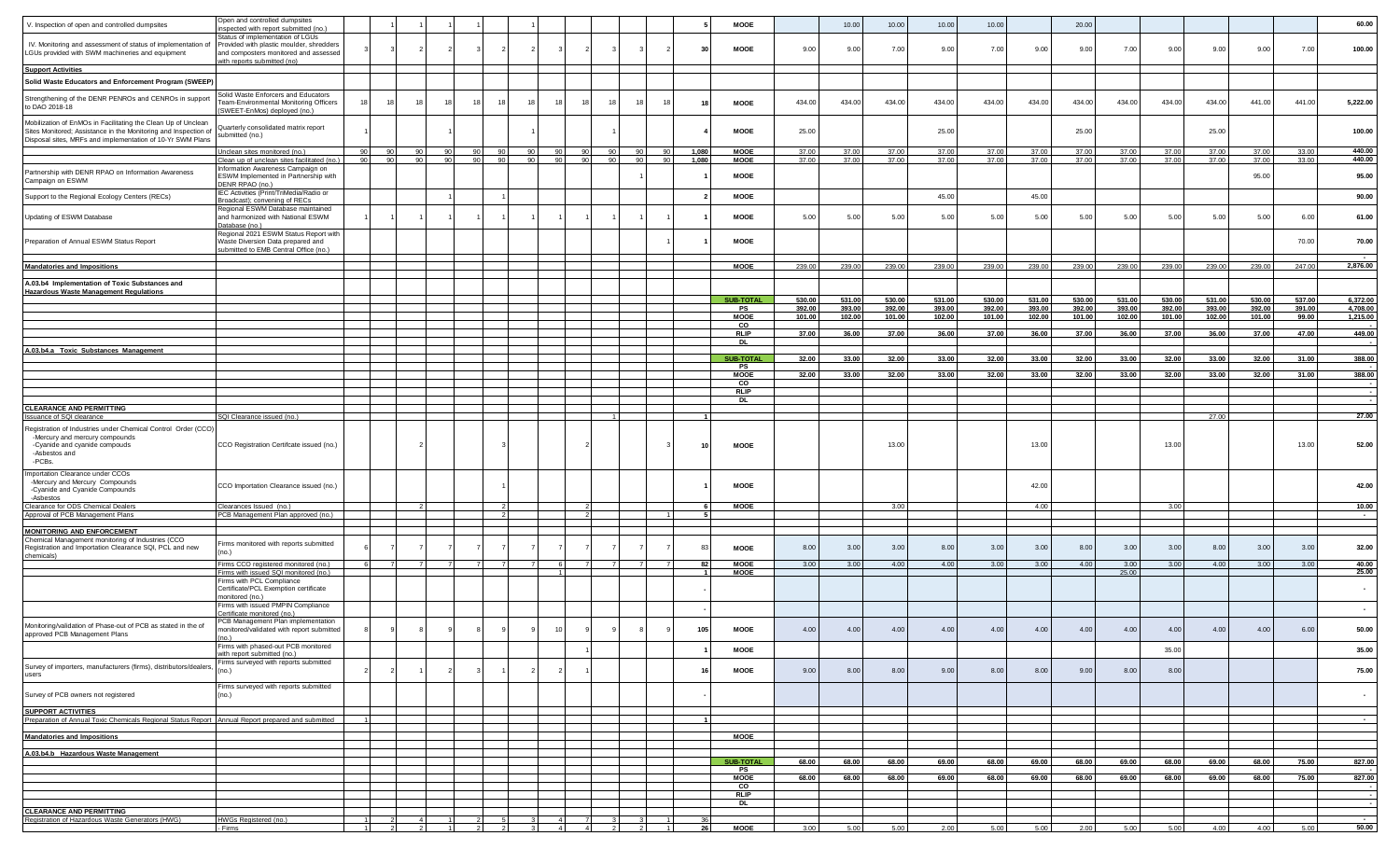|                                                                                                                                                             | Open and controlled dumpsites                                                                                         |                |    |    |    |    |    |              |                |        |                 |                 |                  |                      |                            |                  |                  |                 |                  |                  |                  |                  |                  |                  |                  |                  |                  |                          |
|-------------------------------------------------------------------------------------------------------------------------------------------------------------|-----------------------------------------------------------------------------------------------------------------------|----------------|----|----|----|----|----|--------------|----------------|--------|-----------------|-----------------|------------------|----------------------|----------------------------|------------------|------------------|-----------------|------------------|------------------|------------------|------------------|------------------|------------------|------------------|------------------|------------------|--------------------------|
| V. Inspection of open and controlled dumpsites                                                                                                              | nspected with report submitted (no.)                                                                                  |                |    |    |    |    |    |              |                |        |                 |                 |                  |                      | <b>MOOE</b>                |                  | 10.00            | 10.00           | 10.00            | 10.00            |                  | 20.00            |                  |                  |                  |                  |                  | 60.00                    |
| IV. Monitoring and assessment of status of implementation of<br>LGUs provided with SWM machineries and equipment                                            | Status of implementation of LGUs<br>Provided with plastic moulder, shredders<br>and composters monitored and assessed |                |    |    |    |    |    |              |                |        |                 |                 |                  | 30                   | MOOE                       | 9.00             | 9.00             | 7.00            | 9.00             | 7.00             | 9.00             | 9.00             | 7.00             | 9.00             | 9.00             | 9.00             | 7.00             | 100.00                   |
| <b>Support Activities</b>                                                                                                                                   | with reports submitted (no)                                                                                           |                |    |    |    |    |    |              |                |        |                 |                 |                  |                      |                            |                  |                  |                 |                  |                  |                  |                  |                  |                  |                  |                  |                  |                          |
| Solid Waste Educators and Enforcement Program (SWEEP)                                                                                                       |                                                                                                                       |                |    |    |    |    |    |              |                |        |                 |                 |                  |                      |                            |                  |                  |                 |                  |                  |                  |                  |                  |                  |                  |                  |                  |                          |
| Strengthening of the DENR PENROs and CENROs in support<br>to DAO 2018-18                                                                                    | Solid Waste Enforcers and Educators<br>Team-Environmental Monitoring Officers                                         |                |    | 15 | 11 |    | 18 |              |                |        |                 |                 |                  | 18                   | <b>MOOE</b>                | 434.00           | 434.00           | 434.00          | 434.00           | 434.00           | 434.00           | 434.00           | 434.00           | 434.00           | 434.00           | 441.00           | 441.00           | 5,222.00                 |
| Mobilization of EnMOs in Facilitating the Clean Up of Unclean<br>Sites Monitored; Assistance in the Monitoring and Inspection of                            | SWEET-EnMos) deployed (no.)<br>Quarterly consolidated matrix report<br>submitted (no.)                                |                |    |    |    |    |    |              |                |        |                 |                 |                  |                      | MOOE                       | 25.00            |                  |                 | 25.00            |                  |                  | 25.00            |                  |                  | 25.00            |                  |                  | 100.00                   |
| Disposal sites, MRFs and implementation of 10-Yr SWM Plans                                                                                                  | Jnclean sites monitored (no.)                                                                                         |                |    |    |    |    |    | 90           | 90             | $90-1$ | $90-1$          | 90              | 90               | 1,080                | <b>MOOE</b>                | 37.00            | 37.00            | 37.00           | 37.00            | 37.00            | 37.00            | 37.00            | 37.00            | 37.00            | 37.00            | 37.00            | 33.00            | 440.00                   |
|                                                                                                                                                             | Clean up of unclean sites facilitated (no.)                                                                           | 90             | 90 | 90 | 90 | 90 | 90 | 90           | 90             | 90     | 90 <sub>1</sub> | 90 <sub>1</sub> | 90               | 1,080                | <b>MOOE</b>                | 37.00            | 37.00            | 37.00           | 37.00            | 37.00            | 37.00            | 37.00            | 37.00            | 37.00            | 37.00            | 37.00            | 33.00            | 440.00                   |
| Partnership with DENR RPAO on Information Awareness<br>Campaign on ESWM                                                                                     | nformation Awareness Campaign on<br>ESWM Implemented in Partnership with<br>DENR RPAO (no.)                           |                |    |    |    |    |    |              |                |        |                 |                 |                  |                      | MOOE                       |                  |                  |                 |                  |                  |                  |                  |                  |                  |                  | 95.00            |                  | 95.00                    |
| Support to the Regional Ecology Centers (RECs)                                                                                                              | IEC Activities (Print/TriMedia/Radio or<br>Broadcast); convening of RECs                                              |                |    |    |    |    |    |              |                |        |                 |                 |                  |                      | <b>MOOE</b>                |                  |                  |                 | 45.00            |                  | 45.00            |                  |                  |                  |                  |                  |                  | 90.00                    |
| Updating of ESWM Database                                                                                                                                   | Regional ESWM Database maintained<br>and harmonized with National ESWM<br>Database (no.)                              |                |    |    |    |    |    |              |                |        |                 |                 |                  |                      | MOOE                       | 5.00             | 5.00             | 5.00            | 5.00             | 5.00             | 5.00             | 5.00             | 5.00             | 5.00             | 5.00             | 5.00             | 6.00             | 61.00                    |
| Preparation of Annual ESWM Status Report                                                                                                                    | Regional 2021 ESWM Status Report with<br>Waste Diversion Data prepared and<br>ubmitted to EMB Central Office (no.)    |                |    |    |    |    |    |              |                |        |                 |                 |                  |                      | <b>MOOE</b>                |                  |                  |                 |                  |                  |                  |                  |                  |                  |                  |                  | 70.00            | 70.00                    |
| <b>Mandatories and Impositions</b>                                                                                                                          |                                                                                                                       |                |    |    |    |    |    |              |                |        |                 |                 |                  |                      | <b>MOOE</b>                | 239.00           | 239.00           | 239.00          | 239.00           | 239.00           | 239.00           | 239.00           | 239.00           | 239.00           | 239.00           | 239.00           | 247.00           | 2,876.00                 |
| A.03.b4 Implementation of Toxic Substances and<br><b>Hazardous Waste Management Regulations</b>                                                             |                                                                                                                       |                |    |    |    |    |    |              |                |        |                 |                 |                  |                      |                            |                  |                  |                 |                  |                  |                  |                  |                  |                  |                  |                  |                  |                          |
|                                                                                                                                                             |                                                                                                                       |                |    |    |    |    |    |              |                |        |                 |                 |                  |                      | <b>SUB-TOTAL</b><br>PS     | 530.00<br>392.00 | 531.00<br>393.00 | 530.0<br>392.00 | 531.00<br>393.00 | 530.00<br>392.00 | 531.00<br>393.00 | 530.00<br>392.00 | 531.00<br>393.00 | 530.00<br>392.00 | 531.00<br>393.00 | 530.00<br>392.00 | 537.00<br>391.00 | 6,372.00<br>4,708.00     |
|                                                                                                                                                             |                                                                                                                       |                |    |    |    |    |    |              |                |        |                 |                 |                  |                      | <b>MOOE</b><br>co          | 101.00           | 102.00           | 101.00          | 102.00           | 101.00           | 102.00           | 101.00           | 102.00           | 101.00           | 102.00           | 101.00           | 99.00            | 1,215.00                 |
|                                                                                                                                                             |                                                                                                                       |                |    |    |    |    |    |              |                |        |                 |                 |                  |                      | <b>RLIP</b><br><b>DI</b>   | 37.00            | 36.00            | 37.00           | 36.00            | 37.00            | 36.00            | 37.00            | 36.00            | 37.00            | 36.00            | 37.00            | 47.00            | 449.00                   |
| A.03.b4.a Toxic Substances Management                                                                                                                       |                                                                                                                       |                |    |    |    |    |    |              |                |        |                 |                 |                  |                      |                            |                  |                  |                 | 33.00            |                  |                  |                  |                  |                  |                  |                  | 31.00            |                          |
|                                                                                                                                                             |                                                                                                                       |                |    |    |    |    |    |              |                |        |                 |                 |                  |                      | <b>SUB-TOTAL</b><br>PS     | 32.00            | 33.0             | 32.00           |                  | 32.00            | 33.00            | 32.00            | 33.00            | 32.00            | 33.00            | 32.00            |                  | 388.00                   |
|                                                                                                                                                             |                                                                                                                       |                |    |    |    |    |    |              |                |        |                 |                 |                  |                      | <b>MOOE</b><br>CO          | 32.00            | 33.0             | 32.00           | 33.00            | 32.00            | 33.00            | 32.00            | 33.00            | 32.00            | 33.00            | 32.00            | 31.00            | 388.00                   |
|                                                                                                                                                             |                                                                                                                       |                |    |    |    |    |    |              |                |        |                 |                 |                  |                      | <b>RLIP</b>                |                  |                  |                 |                  |                  |                  |                  |                  |                  |                  |                  |                  |                          |
| <b>CLEARANCE AND PERMITTING</b>                                                                                                                             |                                                                                                                       |                |    |    |    |    |    |              |                |        |                 |                 |                  |                      | <b>DI</b>                  |                  |                  |                 |                  |                  |                  |                  |                  |                  |                  |                  |                  |                          |
| <b>Issuance of SQI clearance</b>                                                                                                                            | SQI Clearance issued (no.)                                                                                            |                |    |    |    |    |    |              |                |        |                 |                 |                  |                      |                            |                  |                  |                 |                  |                  |                  |                  |                  |                  | 27.00            |                  |                  | 27.00                    |
| Registration of Industries under Chemical Control Order (CCO)<br>-Mercury and mercury compounds<br>-Cyanide and cyanide compouds<br>-Asbestos and<br>-PCBs. | CCO Registration Certifcate issued (no.)                                                                              |                |    |    |    |    |    |              |                |        |                 |                 |                  | 10                   | <b>MOOE</b>                |                  |                  | 13.00           |                  |                  | 13.00            |                  |                  | 13.00            |                  |                  | 13.00            | 52.00                    |
| Importation Clearance under CCOs<br>-Mercury and Mercury Compounds<br>-Cyanide and Cyanide Compounds                                                        | CCO Importation Clearance issued (no.)                                                                                |                |    |    |    |    |    |              |                |        |                 |                 |                  |                      | <b>MOOE</b>                |                  |                  |                 |                  |                  | 42.00            |                  |                  |                  |                  |                  |                  | 42.00                    |
| -Asbestos<br>Clearance for ODS Chemical Dealers                                                                                                             | Clearances Issued (no.)                                                                                               |                |    |    |    |    |    |              |                |        |                 |                 |                  |                      | <b>MOOE</b>                |                  |                  | 3.00            |                  |                  | 4.00             |                  |                  | 3.00             |                  |                  |                  | 10.00                    |
| Approval of PCB Management Plans                                                                                                                            | PCB Management Plan approved (no.)                                                                                    |                |    |    |    |    |    |              |                |        |                 |                 |                  |                      |                            |                  |                  |                 |                  |                  |                  |                  |                  |                  |                  |                  |                  | $\sim$                   |
| <b>MONITORING AND ENFORCEMENT</b>                                                                                                                           |                                                                                                                       |                |    |    |    |    |    |              |                |        |                 |                 |                  |                      |                            |                  |                  |                 |                  |                  |                  |                  |                  |                  |                  |                  |                  |                          |
| Chemical Management monitoring of Industries (CCO<br>Registration and Importation Clearance SQI, PCL and new<br>chemicals)                                  | irms monitored with reports submitted<br>no.)                                                                         |                |    |    |    |    |    |              |                |        |                 |                 |                  | 83                   | MOOE                       | 8.00             | 3.00             | 3.00            | 8.00             | 3.00             | 3.00             | 8.00             | 3.00             | 3.00             | 8.00             | 3.00             | 3.00             | 32.00                    |
|                                                                                                                                                             | irms CCO registered monitored (no.)<br>Firms with issued SQI monitored (no.)                                          |                |    |    |    |    |    |              | -6             | 7      | 7 <sup>1</sup>  |                 | <b>7</b>         | 82<br>$\overline{1}$ | <b>MOOE</b><br><b>MOOE</b> | 3.00             | 3.00             | 4.00            | 4.00             | 3.00             | 3.00             | 4.00             | 3.00<br>25.00    | 3.00             | 4.00             | 3.00             | 3.00             | 40.00<br>25.00           |
|                                                                                                                                                             | Firms with PCL Compliance<br>Certificate/PCL Exemption certificate<br>nonitored (no.)                                 |                |    |    |    |    |    |              |                |        |                 |                 |                  |                      |                            |                  |                  |                 |                  |                  |                  |                  |                  |                  |                  |                  |                  | $\sim$                   |
|                                                                                                                                                             | Firms with issued PMPIN Compliance<br>ertificate monitored (no.)                                                      |                |    |    |    |    |    |              |                |        |                 |                 |                  |                      |                            |                  |                  |                 |                  |                  |                  |                  |                  |                  |                  |                  |                  | $\sim$                   |
| Monitoring/validation of Phase-out of PCB as stated in the of<br>approved PCB Management Plans                                                              | PCB Management Plan implementation<br>monitored/validated with report submitted                                       |                |    |    |    |    |    |              |                |        |                 |                 |                  | 105                  | MOOE                       | 4.00             | 4.00             | 4.00            | 4.00             | 4.00             | 4.00             | 4.00             | 4.00             | 4.00             | 4.00             | 4.00             | 6.00             | 50.00                    |
|                                                                                                                                                             | Firms with phased-out PCB monitored<br>with report submitted (no.)                                                    |                |    |    |    |    |    |              |                |        |                 |                 |                  |                      | <b>MOOE</b>                |                  |                  |                 |                  |                  |                  |                  |                  | 35.00            |                  |                  |                  | 35.00                    |
| Survey of importers, manufacturers (firms), distributors/dealers,<br>users                                                                                  | irms surveyed with reports submitted<br>no.)                                                                          |                |    |    |    |    |    |              |                |        |                 |                 |                  |                      | <b>MOOE</b>                | 9.00             | 8.00             | 8.00            | 9.00             | 8.00             | 8.00             | 9.00             | 8.00             | 8.00             |                  |                  |                  | 75.00                    |
| Survey of PCB owners not registered                                                                                                                         | Firms surveyed with reports submitted<br>(no.)                                                                        |                |    |    |    |    |    |              |                |        |                 |                 |                  |                      |                            |                  |                  |                 |                  |                  |                  |                  |                  |                  |                  |                  |                  | $\overline{\phantom{a}}$ |
| <b>SUPPORT ACTIVITIES</b><br>Preparation of Annual Toxic Chemicals Regional Status Report Annual Report prepared and submitted                              |                                                                                                                       |                |    |    |    |    |    |              |                |        |                 |                 |                  |                      |                            |                  |                  |                 |                  |                  |                  |                  |                  |                  |                  |                  |                  | $\sim$ 100 $\pm$         |
| <b>Mandatories and Impositions</b>                                                                                                                          |                                                                                                                       |                |    |    |    |    |    |              |                |        |                 |                 |                  |                      | <b>MOOE</b>                |                  |                  |                 |                  |                  |                  |                  |                  |                  |                  |                  |                  |                          |
| A.03.b4.b Hazardous Waste Management                                                                                                                        |                                                                                                                       |                |    |    |    |    |    |              |                |        |                 |                 |                  |                      |                            |                  |                  |                 |                  |                  |                  |                  |                  |                  |                  |                  |                  |                          |
|                                                                                                                                                             |                                                                                                                       |                |    |    |    |    |    |              |                |        |                 |                 |                  |                      | <b>SUB-TOTAL</b>           | 68.00            | 68.00            | 68.00           | 69.00            | 68.00            | 69.00            | 68.00            | 69.00            | 68.00            | 69.00            | 68.00            | 75.00            | 827.00                   |
|                                                                                                                                                             |                                                                                                                       |                |    |    |    |    |    |              |                |        |                 |                 |                  |                      | PS<br><b>MOOE</b>          | 68.00            | 68.00            | 68.00           | 69.00            | 68.00            | 69.00            | 68.00            | 69.00            | 68.00            | 69.00            | 68.00            | 75.00            | 827.00                   |
|                                                                                                                                                             |                                                                                                                       |                |    |    |    |    |    |              |                |        |                 |                 |                  |                      | CO                         |                  |                  |                 |                  |                  |                  |                  |                  |                  |                  |                  |                  |                          |
|                                                                                                                                                             |                                                                                                                       |                |    |    |    |    |    |              |                |        |                 |                 |                  |                      | <b>RLIP</b><br><b>DL</b>   |                  |                  |                 |                  |                  |                  |                  |                  |                  |                  |                  |                  |                          |
| <b>CLEARANCE AND PERMITTING</b>                                                                                                                             | HWGs Registered (no.)                                                                                                 |                |    |    |    |    |    |              |                |        |                 |                 |                  | 36                   |                            |                  |                  |                 |                  |                  |                  |                  |                  |                  |                  |                  |                  |                          |
| Registration of Hazardous Waste Generators (HWG)                                                                                                            | - Firms                                                                                                               | $\overline{1}$ |    | 21 |    | 21 |    | $\mathbf{3}$ | $\overline{4}$ |        | 4 2             | 2               | $\blacksquare$ 1 | 26                   | <b>MOOE</b>                | 3.00             | 5.00             | 5.00            | 2.00             | 5.00             | 5.00             | 2.00             | 5.00             | 5.00             | 4.00             | 4.00             | 5.00             | 50.00                    |